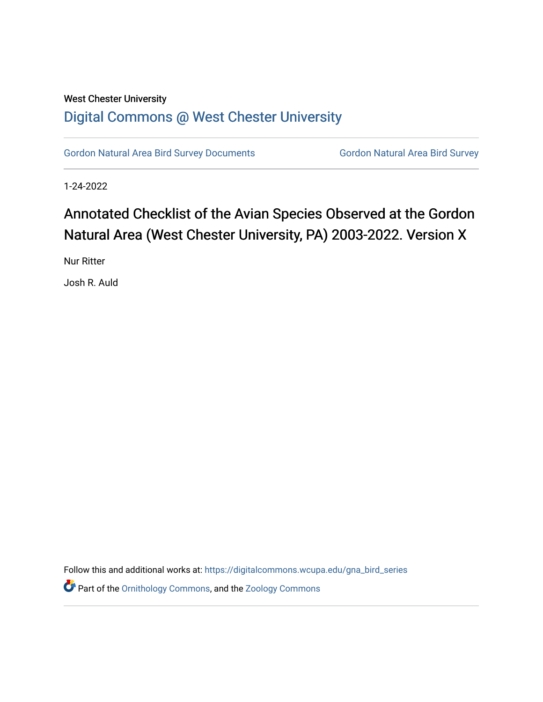## West Chester University [Digital Commons @ West Chester University](https://digitalcommons.wcupa.edu/)

[Gordon Natural Area Bird Survey Documents](https://digitalcommons.wcupa.edu/gna_bird_series) Gordon Natural Area Bird Survey

1-24-2022

# Annotated Checklist of the Avian Species Observed at the Gordon Natural Area (West Chester University, PA) 2003-2022. Version X

Nur Ritter

Josh R. Auld

Follow this and additional works at: [https://digitalcommons.wcupa.edu/gna\\_bird\\_series](https://digitalcommons.wcupa.edu/gna_bird_series?utm_source=digitalcommons.wcupa.edu%2Fgna_bird_series%2F5&utm_medium=PDF&utm_campaign=PDFCoverPages) 

Part of the [Ornithology Commons,](http://network.bepress.com/hgg/discipline/1190?utm_source=digitalcommons.wcupa.edu%2Fgna_bird_series%2F5&utm_medium=PDF&utm_campaign=PDFCoverPages) and the [Zoology Commons](http://network.bepress.com/hgg/discipline/81?utm_source=digitalcommons.wcupa.edu%2Fgna_bird_series%2F5&utm_medium=PDF&utm_campaign=PDFCoverPages)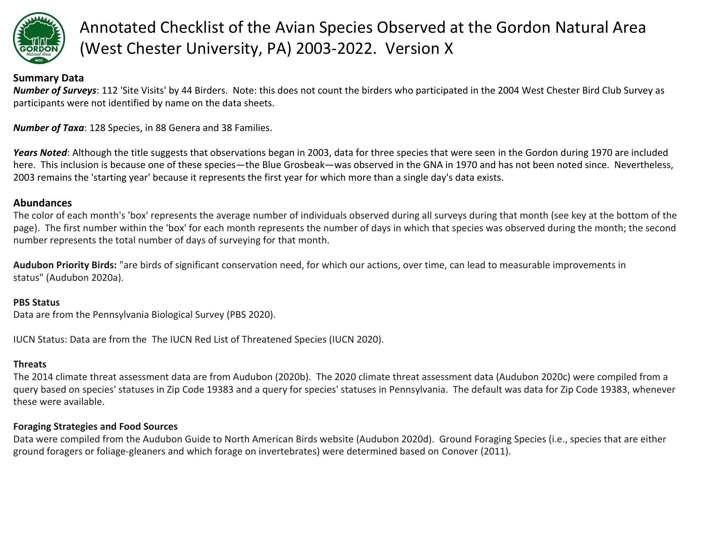

# Annotated Checklist of the Avian Species Observed at the Gordon Natural Area (West Chester University, PA) 2003-2022. Version X

#### **Summary Data**

*Number of Surveys*: 112 'Site Visits' by 44 Birders. Note: this does not count the birders who participated in the 2004 West Chester Bird Club Survey as participants were not identified by name on the data sheets.

*Number of Taxa*: 128 Species, in 88 Genera and 38 Families.

*Years Noted*: Although the title suggests that observations began in 2003, data for three species that were seen in the Gordon during 1970 are included here. This inclusion is because one of these species—the Blue Grosbeak—was observed in the GNA in 1970 and has not been noted since. Nevertheless, 2003 remains the 'starting year' because it represents the first year for which more than a single day's data exists.

#### **Abundances**

The color of each month's 'box' represents the average number of individuals observed during all surveys during that month (see key at the bottom of the page). The first number within the 'box' for each month represents the number of days in which that species was observed during the month; the second number represents the total number of days of surveying for that month.

**Audubon Priority Birds:** "are birds of significant conservation need, for which our actions, over time, can lead to measurable improvements in status" (Audubon 2020a).

#### **PBS Status**

Data are from the Pennsylvania Biological Survey (PBS 2020).

IUCN Status: Data are from the The IUCN Red List of Threatened Species (IUCN 2020).

#### **Threats**

The 2014 climate threat assessment data are from Audubon (2020b). The 2020 climate threat assessment data (Audubon 2020c) were compiled from a query based on species' statuses in Zip Code 19383 and a query for species' statuses in Pennsylvania. The default was data for Zip Code 19383, whenever these were available.

#### **Foraging Strategies and Food Sources**

Data were compiled from the Audubon Guide to North American Birds website (Audubon 2020d). Ground Foraging Species (i.e., species that are either ground foragers or foliage-gleaners and which forage on invertebrates) were determined based on Conover (2011).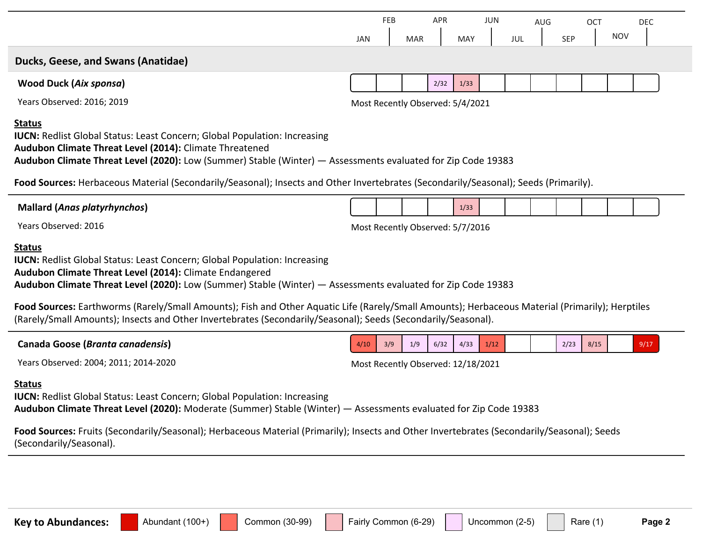|                                                                                                                                                                                                                                                                                                                                                                                                     |            | <b>FEB</b> |            | APR  |                                  | <b>JUN</b> |     | <b>AUG</b> |            | <b>OCT</b> |            | <b>DEC</b> |
|-----------------------------------------------------------------------------------------------------------------------------------------------------------------------------------------------------------------------------------------------------------------------------------------------------------------------------------------------------------------------------------------------------|------------|------------|------------|------|----------------------------------|------------|-----|------------|------------|------------|------------|------------|
|                                                                                                                                                                                                                                                                                                                                                                                                     | <b>JAN</b> |            | <b>MAR</b> |      | <b>MAY</b>                       |            | JUL |            | <b>SEP</b> |            | <b>NOV</b> |            |
| Ducks, Geese, and Swans (Anatidae)                                                                                                                                                                                                                                                                                                                                                                  |            |            |            |      |                                  |            |     |            |            |            |            |            |
| <b>Wood Duck (Aix sponsa)</b>                                                                                                                                                                                                                                                                                                                                                                       |            |            |            | 2/32 | 1/33                             |            |     |            |            |            |            |            |
| Years Observed: 2016; 2019                                                                                                                                                                                                                                                                                                                                                                          |            |            |            |      | Most Recently Observed: 5/4/2021 |            |     |            |            |            |            |            |
| <b>IUCN: Redlist Global Status: Least Concern; Global Population: Increasing</b><br>Audubon Climate Threat Level (2014): Climate Threatened<br>Audubon Climate Threat Level (2020): Low (Summer) Stable (Winter) - Assessments evaluated for Zip Code 19383<br>Food Sources: Herbaceous Material (Secondarily/Seasonal); Insects and Other Invertebrates (Secondarily/Seasonal); Seeds (Primarily). |            |            |            |      |                                  |            |     |            |            |            |            |            |
| <b>Mallard (Anas platyrhynchos)</b>                                                                                                                                                                                                                                                                                                                                                                 |            |            |            |      | 1/33                             |            |     |            |            |            |            |            |
| Years Observed: 2016                                                                                                                                                                                                                                                                                                                                                                                |            |            |            |      | Most Recently Observed: 5/7/2016 |            |     |            |            |            |            |            |
| <b>Status</b><br><b>IUCN:</b> Redlist Global Status: Least Concern; Global Population: Increasing<br>Audubon Climate Threat Level (2014): Climate Endangered<br>Audubon Climate Threat Level (2020): Low (Summer) Stable (Winter) — Assessments evaluated for Zip Code 19383                                                                                                                        |            |            |            |      |                                  |            |     |            |            |            |            |            |
| Food Sources: Earthworms (Rarely/Small Amounts); Fish and Other Aquatic Life (Rarely/Small Amounts); Herbaceous Material (Primarily); Herptiles<br>(Rarely/Small Amounts); Insects and Other Invertebrates (Secondarily/Seasonal); Seeds (Secondarily/Seasonal).                                                                                                                                    |            |            |            |      |                                  |            |     |            |            |            |            |            |

| Canada Goose ( <i>Branta canadensis</i> ) | 4/10 | 3/9 | 1/9 | 6/32 | 4/33 | 1/12 |  | 2/23 | Q/15<br>0/10 | 9/17 |  |
|-------------------------------------------|------|-----|-----|------|------|------|--|------|--------------|------|--|
|                                           |      |     |     |      |      |      |  |      |              |      |  |

Years Observed: 2004; 2011; 2014-2020 Most Recently Observed: 12/18/2021

#### **Status**

**IUCN: Redlist Global Status: Least Concern; Global Population: Increasing Audubon Climate Threat Level (2020):** Moderate (Summer) Stable (Winter) — Assessments evaluated for Zip Code 19383

**Food Sources:** Fruits (Secondarily/Seasonal); Herbaceous Material (Primarily); Insects and Other Invertebrates (Secondarily/Seasonal); Seeds (Secondarily/Seasonal).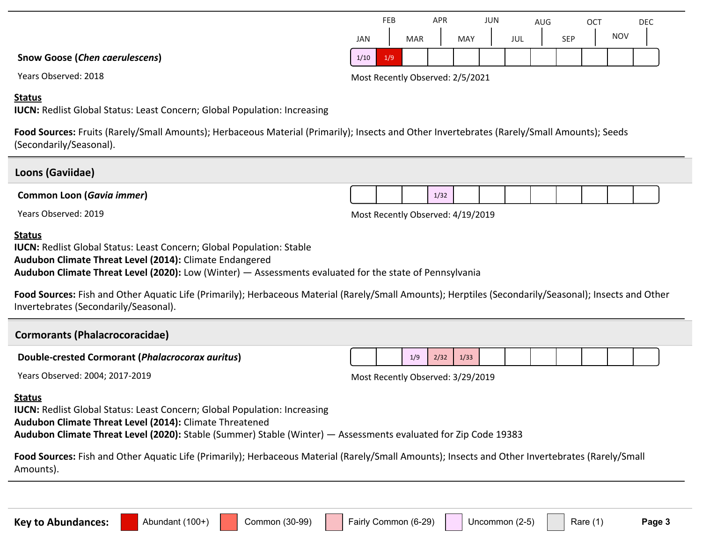#### **Snow Goose (***Chen caerulescens***)**

#### **Status**

**IUCN:** Redlist Global Status: Least Concern; Global Population: Increasing

**Food Sources:** Fruits (Rarely/Small Amounts); Herbaceous Material (Primarily); Insects and Other Invertebrates (Rarely/Small Amounts); Seeds (Secondarily/Seasonal).

#### **Loons (Gaviidae)**

**Common Loon (***Gavia immer***)**

Years Observed: 2019 Most Recently Observed: 4/19/2019

 $1/32$ 

#### **Status**

**IUCN:** Redlist Global Status: Least Concern; Global Population: Stable **Audubon Climate Threat Level (2014):** Climate Endangered **Audubon Climate Threat Level (2020):** Low (Winter) — Assessments evaluated for the state of Pennsylvania

Food Sources: Fish and Other Aquatic Life (Primarily); Herbaceous Material (Rarely/Small Amounts); Herptiles (Secondarily/Seasonal); Insects and Other Invertebrates (Secondarily/Seasonal).

## **Cormorants (Phalacrocoracidae) Double-crested Cormorant (***Phalacrocorax auritus***)** Years Observed: 2004; 2017-2019 Most Recently Observed: 3/29/2019  $1/9$   $2/32$   $1/33$ **Status IUCN:** Redlist Global Status: Least Concern; Global Population: Increasing **Audubon Climate Threat Level (2014):** Climate Threatened **Audubon Climate Threat Level (2020):** Stable (Summer) Stable (Winter) — Assessments evaluated for Zip Code 19383

**Food Sources:** Fish and Other Aquatic Life (Primarily); Herbaceous Material (Rarely/Small Amounts); Insects and Other Invertebrates (Rarely/Small Amounts).

|      | FEB |            | <b>APR</b> |            | JUN |     | AUG |            | OC1 |            | <b>DEC</b> |
|------|-----|------------|------------|------------|-----|-----|-----|------------|-----|------------|------------|
| JAN  |     | <b>MAR</b> |            | <b>MAY</b> |     | JUL |     | <b>SEP</b> |     | <b>NOV</b> |            |
| 1/10 | 1/9 |            |            |            |     |     |     |            |     |            |            |

Years Observed: 2018 2018 2018 and the Case of Most Recently Observed: 2/5/2021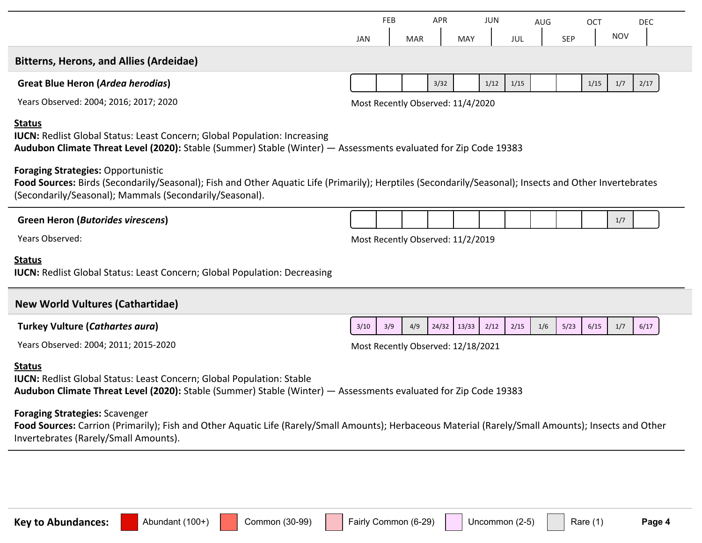|                                                                                                                                                                                                                                                                | <b>JAN</b> | <b>FEB</b> | <b>MAR</b> | <b>APR</b> | <b>MAY</b>                         | <b>JUN</b> | <b>JUL</b> | <b>AUG</b> | <b>SEP</b> | OCT  | <b>NOV</b> | <b>DEC</b> |
|----------------------------------------------------------------------------------------------------------------------------------------------------------------------------------------------------------------------------------------------------------------|------------|------------|------------|------------|------------------------------------|------------|------------|------------|------------|------|------------|------------|
| <b>Bitterns, Herons, and Allies (Ardeidae)</b>                                                                                                                                                                                                                 |            |            |            |            |                                    |            |            |            |            |      |            |            |
| <b>Great Blue Heron (Ardea herodias)</b>                                                                                                                                                                                                                       |            |            |            | 3/32       |                                    | 1/12       | 1/15       |            |            | 1/15 | 1/7        | 2/17       |
| Years Observed: 2004; 2016; 2017; 2020                                                                                                                                                                                                                         |            |            |            |            | Most Recently Observed: 11/4/2020  |            |            |            |            |      |            |            |
| <b>Status</b><br><b>IUCN:</b> Redlist Global Status: Least Concern; Global Population: Increasing<br>Audubon Climate Threat Level (2020): Stable (Summer) Stable (Winter) - Assessments evaluated for Zip Code 19383                                           |            |            |            |            |                                    |            |            |            |            |      |            |            |
| <b>Foraging Strategies: Opportunistic</b><br>Food Sources: Birds (Secondarily/Seasonal); Fish and Other Aquatic Life (Primarily); Herptiles (Secondarily/Seasonal); Insects and Other Invertebrates<br>(Secondarily/Seasonal); Mammals (Secondarily/Seasonal). |            |            |            |            |                                    |            |            |            |            |      |            |            |
| <b>Green Heron (Butorides virescens)</b>                                                                                                                                                                                                                       |            |            |            |            |                                    |            |            |            |            |      | 1/7        |            |
| Years Observed:                                                                                                                                                                                                                                                |            |            |            |            | Most Recently Observed: 11/2/2019  |            |            |            |            |      |            |            |
| <b>Status</b><br><b>IUCN: Redlist Global Status: Least Concern; Global Population: Decreasing</b>                                                                                                                                                              |            |            |            |            |                                    |            |            |            |            |      |            |            |
| <b>New World Vultures (Cathartidae)</b>                                                                                                                                                                                                                        |            |            |            |            |                                    |            |            |            |            |      |            |            |
| <b>Turkey Vulture (Cathartes aura)</b>                                                                                                                                                                                                                         | 3/10       | 3/9        | 4/9        | 24/32      | 13/33                              | 2/12       | 2/15       | 1/6        | 5/23       | 6/15 | 1/7        | 6/17       |
| Years Observed: 2004; 2011; 2015-2020                                                                                                                                                                                                                          |            |            |            |            | Most Recently Observed: 12/18/2021 |            |            |            |            |      |            |            |
| <b>Status</b><br><b>IUCN: Redlist Global Status: Least Concern; Global Population: Stable</b><br>Audubon Climate Threat Level (2020): Stable (Summer) Stable (Winter) - Assessments evaluated for Zip Code 19383                                               |            |            |            |            |                                    |            |            |            |            |      |            |            |
| <b>Foraging Strategies: Scavenger</b><br>Food Sources: Carrion (Primarily); Fish and Other Aquatic Life (Rarely/Small Amounts); Herbaceous Material (Rarely/Small Amounts); Insects and Other<br>Invertebrates (Rarely/Small Amounts).                         |            |            |            |            |                                    |            |            |            |            |      |            |            |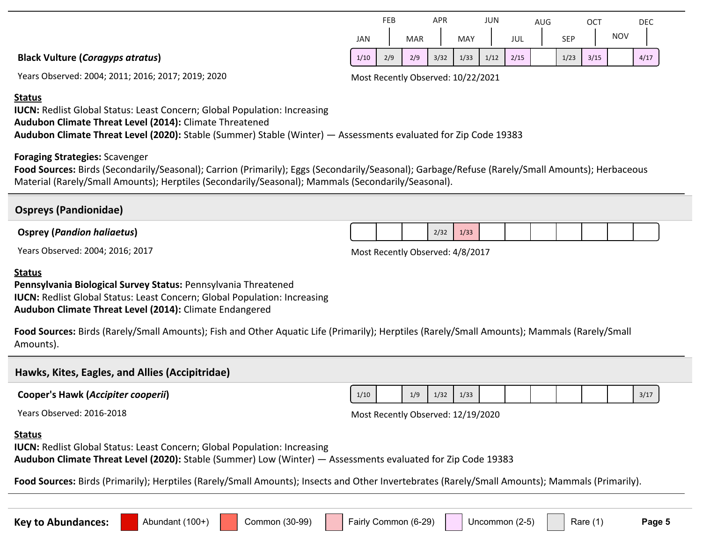|                                         |      | FEB |            | APR  |      | <b>JUN</b> |      | AUG |            | <b>OCT</b> |            | DEC  |  |
|-----------------------------------------|------|-----|------------|------|------|------------|------|-----|------------|------------|------------|------|--|
|                                         | JAN  |     | <b>MAR</b> |      | MAY  |            | JUL  |     | <b>SEP</b> |            | <b>NOV</b> |      |  |
| <b>Black Vulture (Coragyps atratus)</b> | 1/10 | 2/9 | 2/9        | 3/32 | 1/33 | 1/12       | 2/15 |     | 1/23       | 3/15       |            | 4/17 |  |
|                                         |      |     |            |      |      |            |      |     |            |            |            |      |  |

Years Observed: 2004; 2011; 2016; 2017; 2019; 2020 Most Recently Observed: 10/22/2021

#### **Status**

**IUCN:** Redlist Global Status: Least Concern; Global Population: Increasing **Audubon Climate Threat Level (2014):** Climate Threatened **Audubon Climate Threat Level (2020):** Stable (Summer) Stable (Winter) — Assessments evaluated for Zip Code 19383

#### **Foraging Strategies:** Scavenger

**Food Sources:** Birds (Secondarily/Seasonal); Carrion (Primarily); Eggs (Secondarily/Seasonal); Garbage/Refuse (Rarely/Small Amounts); Herbaceous Material (Rarely/Small Amounts); Herptiles (Secondarily/Seasonal); Mammals (Secondarily/Seasonal).

#### **Ospreys (Pandionidae)**

#### **Osprey (***Pandion haliaetus***)**

Years Observed: 2004; 2016; 2017 Most Recently Observed: 4/8/2017

 $2/32$  1/33

#### **Status**

**Pennsylvania Biological Survey Status:** Pennsylvania Threatened **IUCN:** Redlist Global Status: Least Concern; Global Population: Increasing **Audubon Climate Threat Level (2014):** Climate Endangered

**Food Sources:** Birds (Rarely/Small Amounts); Fish and Other Aquatic Life (Primarily); Herptiles (Rarely/Small Amounts); Mammals (Rarely/Small Amounts).

#### **Hawks, Kites, Eagles, and Allies (Accipitridae)**

**Cooper's Hawk (***Accipiter cooperii***)**

Years Observed: 2016-2018

| Most Recently Observed: 12/19/2020 |  |  |
|------------------------------------|--|--|
|                                    |  |  |

#### **Status**

**IUCN:** Redlist Global Status: Least Concern; Global Population: Increasing **Audubon Climate Threat Level (2020):** Stable (Summer) Low (Winter) — Assessments evaluated for Zip Code 19383

**Food Sources:** Birds (Primarily); Herptiles (Rarely/Small Amounts); Insects and Other Invertebrates (Rarely/Small Amounts); Mammals (Primarily).

Key to Abundances: **Alterator Common (30-99)** Fairly Common (6-29) Nuncommon (2-5) Rare (1) Page 5

1/10 1/9 1/32 1/33 1 1 1 3/17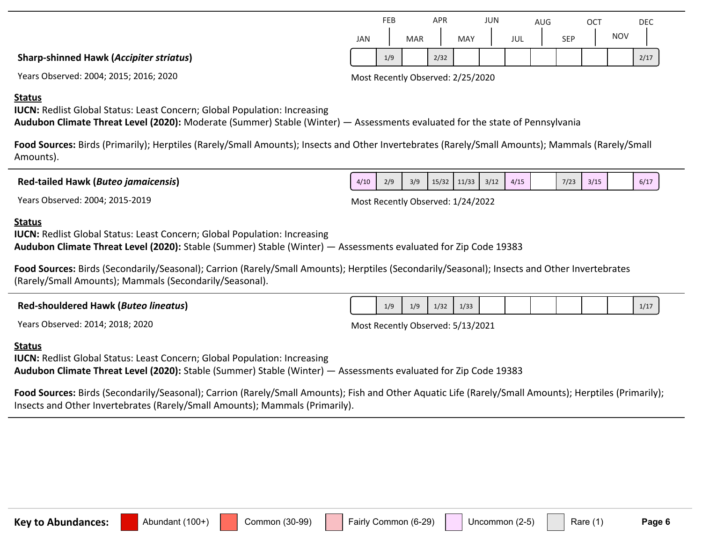**Status**

**Sharp-shinned Hawk (***Accipiter striatus***)**

**IUCN:** Redlist Global Status: Least Concern; Global Population: Increasing **Audubon Climate Threat Level (2020):** Moderate (Summer) Stable (Winter) — Assessments evaluated for the state of Pennsylvania

**Food Sources:** Birds (Primarily); Herptiles (Rarely/Small Amounts); Insects and Other Invertebrates (Rarely/Small Amounts); Mammals (Rarely/Small Amounts).

**Red-tailed Hawk (***Buteo jamaicensis***)**

Years Observed: 2004; 2015-2019 Most Recently Observed: 1/24/2022

### **Status**

**IUCN:** Redlist Global Status: Least Concern; Global Population: Increasing **Audubon Climate Threat Level (2020):** Stable (Summer) Stable (Winter) — Assessments evaluated for Zip Code 19383

Years Observed: 2004; 2015; 2016; 2020 Most Recently Observed: 2/25/2020

**Food Sources:** Birds (Secondarily/Seasonal); Carrion (Rarely/Small Amounts); Herptiles (Secondarily/Seasonal); Insects and Other Invertebrates (Rarely/Small Amounts); Mammals (Secondarily/Seasonal).

| <b>Red-shouldered Hawk (Buteo lineatus)</b> | 1/9 | 1/9 | 1/32 | 1/33 |  |  |  | 1/1 |
|---------------------------------------------|-----|-----|------|------|--|--|--|-----|
| $\overline{\phantom{a}}$                    |     |     |      | .    |  |  |  |     |

Years Observed: 2014; 2018; 2020 Most Recently Observed: 5/13/2021

### **Status**

**IUCN: Redlist Global Status: Least Concern; Global Population: Increasing Audubon Climate Threat Level (2020):** Stable (Summer) Stable (Winter) — Assessments evaluated for Zip Code 19383

**Food Sources:** Birds (Secondarily/Seasonal); Carrion (Rarely/Small Amounts); Fish and Other Aquatic Life (Rarely/Small Amounts); Herptiles (Primarily); Insects and Other Invertebrates (Rarely/Small Amounts); Mammals (Primarily).

**Key to Abundances:** Abundant (100+) Common (30-99) Fairly Common (6-29) Uncommon (2-5) Rare (1) Page 6

|     | <b>FEB</b> |            | <b>APR</b> |            | JUN |     | <b>AUG</b> |            | OCT |            | <b>DEC</b> |
|-----|------------|------------|------------|------------|-----|-----|------------|------------|-----|------------|------------|
| JAN |            | <b>MAR</b> |            | <b>MAY</b> |     | JUL |            | <b>SEP</b> |     | <b>NOV</b> |            |
|     | 1/9        |            | 2/32       |            |     |     |            |            |     |            | 2/17       |

4/10 2/9 3/9 15/32 11/33 3/12 4/15 7/23 3/15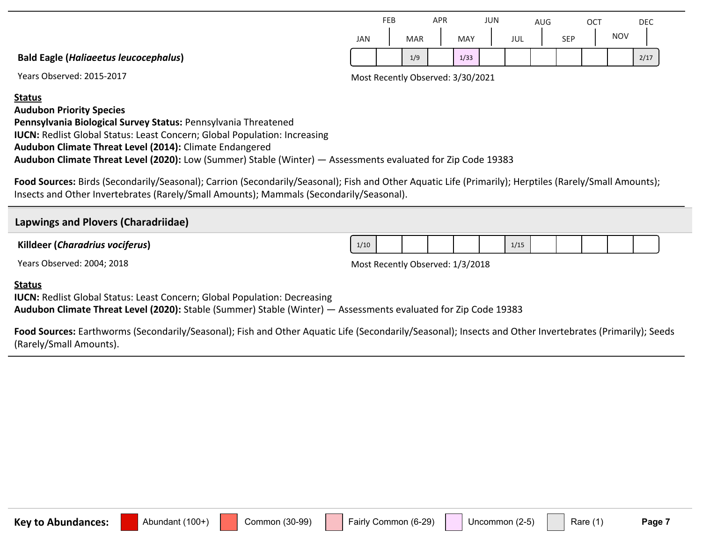|                                              |     | FEB |            | <b>APR</b> |      | JUN |     | AUG |     | <b>OCT</b> |            | DEC  |
|----------------------------------------------|-----|-----|------------|------------|------|-----|-----|-----|-----|------------|------------|------|
|                                              | JAN |     | <b>MAR</b> |            | MAY  |     | JUL |     | SEP |            | <b>NOV</b> |      |
| <b>Bald Eagle (Haliaeetus leucocephalus)</b> |     |     | 1/9        |            | 1/33 |     |     |     |     |            |            | 2/17 |

Years Observed: 2015-2017 Most Recently Observed: 3/30/2021

#### **Status**

**Audubon Priority Species**

**Pennsylvania Biological Survey Status:** Pennsylvania Threatened **IUCN: Redlist Global Status: Least Concern; Global Population: Increasing Audubon Climate Threat Level (2014):** Climate Endangered **Audubon Climate Threat Level (2020):** Low (Summer) Stable (Winter) — Assessments evaluated for Zip Code 19383

**Food Sources:** Birds (Secondarily/Seasonal); Carrion (Secondarily/Seasonal); Fish and Other Aquatic Life (Primarily); Herptiles (Rarely/Small Amounts); Insects and Other Invertebrates (Rarely/Small Amounts); Mammals (Secondarily/Seasonal).

#### **Lapwings and Plovers (Charadriidae)**

**Killdeer (***Charadrius vociferus***)**

Years Observed: 2004; 2018 and 2004 and 2018 and 2019 and 2019 and 2019 Most Recently Observed: 1/3/2018

#### **Status**

**IUCN: Redlist Global Status: Least Concern; Global Population: Decreasing Audubon Climate Threat Level (2020):** Stable (Summer) Stable (Winter) — Assessments evaluated for Zip Code 19383

**Food Sources:** Earthworms (Secondarily/Seasonal); Fish and Other Aquatic Life (Secondarily/Seasonal); Insects and Other Invertebrates (Primarily); Seeds (Rarely/Small Amounts).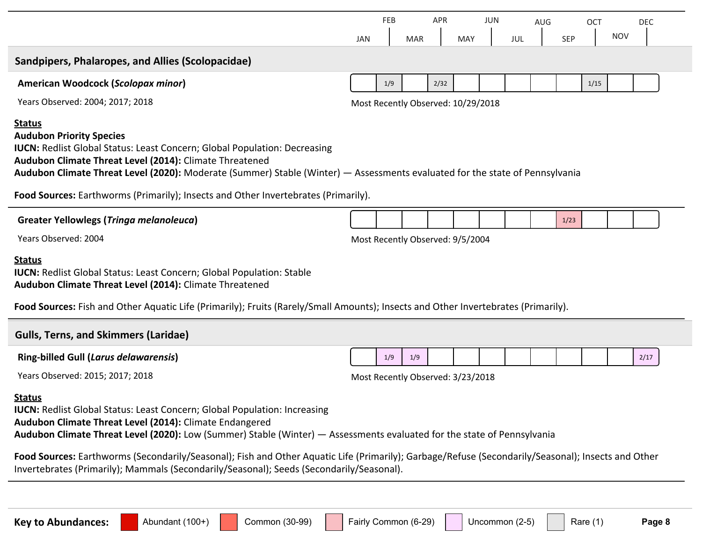|                                                                                                                                                                                                                                                                                                                                                                                                                                                                                                                                           | FEB<br><b>APR</b><br>JUN                                     |
|-------------------------------------------------------------------------------------------------------------------------------------------------------------------------------------------------------------------------------------------------------------------------------------------------------------------------------------------------------------------------------------------------------------------------------------------------------------------------------------------------------------------------------------------|--------------------------------------------------------------|
|                                                                                                                                                                                                                                                                                                                                                                                                                                                                                                                                           | <b>AUG</b><br><b>DEC</b><br>OCT<br><b>NOV</b>                |
|                                                                                                                                                                                                                                                                                                                                                                                                                                                                                                                                           | SEP<br><b>JAN</b><br>MAY<br>JUL<br><b>MAR</b>                |
| Sandpipers, Phalaropes, and Allies (Scolopacidae)                                                                                                                                                                                                                                                                                                                                                                                                                                                                                         |                                                              |
| American Woodcock (Scolopax minor)                                                                                                                                                                                                                                                                                                                                                                                                                                                                                                        | 2/32<br>1/15<br>1/9                                          |
| Years Observed: 2004; 2017; 2018                                                                                                                                                                                                                                                                                                                                                                                                                                                                                                          | Most Recently Observed: 10/29/2018                           |
| <b>Status</b><br><b>Audubon Priority Species</b><br><b>IUCN: Redlist Global Status: Least Concern; Global Population: Decreasing</b><br>Audubon Climate Threat Level (2014): Climate Threatened<br>Audubon Climate Threat Level (2020): Moderate (Summer) Stable (Winter) — Assessments evaluated for the state of Pennsylvania                                                                                                                                                                                                           |                                                              |
| Food Sources: Earthworms (Primarily); Insects and Other Invertebrates (Primarily).                                                                                                                                                                                                                                                                                                                                                                                                                                                        |                                                              |
| <b>Greater Yellowlegs (Tringa melanoleuca)</b>                                                                                                                                                                                                                                                                                                                                                                                                                                                                                            | 1/23                                                         |
| Years Observed: 2004                                                                                                                                                                                                                                                                                                                                                                                                                                                                                                                      | Most Recently Observed: 9/5/2004                             |
| <b>Status</b><br><b>IUCN: Redlist Global Status: Least Concern; Global Population: Stable</b><br>Audubon Climate Threat Level (2014): Climate Threatened<br>Food Sources: Fish and Other Aquatic Life (Primarily); Fruits (Rarely/Small Amounts); Insects and Other Invertebrates (Primarily).                                                                                                                                                                                                                                            |                                                              |
| <b>Gulls, Terns, and Skimmers (Laridae)</b>                                                                                                                                                                                                                                                                                                                                                                                                                                                                                               |                                                              |
| <b>Ring-billed Gull (Larus delawarensis)</b>                                                                                                                                                                                                                                                                                                                                                                                                                                                                                              | 1/9<br>1/9<br>2/17                                           |
| Years Observed: 2015; 2017; 2018                                                                                                                                                                                                                                                                                                                                                                                                                                                                                                          | Most Recently Observed: 3/23/2018                            |
| <u>Status</u><br><b>IUCN: Redlist Global Status: Least Concern; Global Population: Increasing</b><br>Audubon Climate Threat Level (2014): Climate Endangered<br>Audubon Climate Threat Level (2020): Low (Summer) Stable (Winter) - Assessments evaluated for the state of Pennsylvania<br>Food Sources: Earthworms (Secondarily/Seasonal); Fish and Other Aquatic Life (Primarily); Garbage/Refuse (Secondarily/Seasonal); Insects and Other<br>Invertebrates (Primarily); Mammals (Secondarily/Seasonal); Seeds (Secondarily/Seasonal). |                                                              |
|                                                                                                                                                                                                                                                                                                                                                                                                                                                                                                                                           |                                                              |
| Common (30-99)<br><b>Key to Abundances:</b><br>Abundant (100+)                                                                                                                                                                                                                                                                                                                                                                                                                                                                            | Fairly Common (6-29)<br>Uncommon (2-5)<br>Rare (1)<br>Page 8 |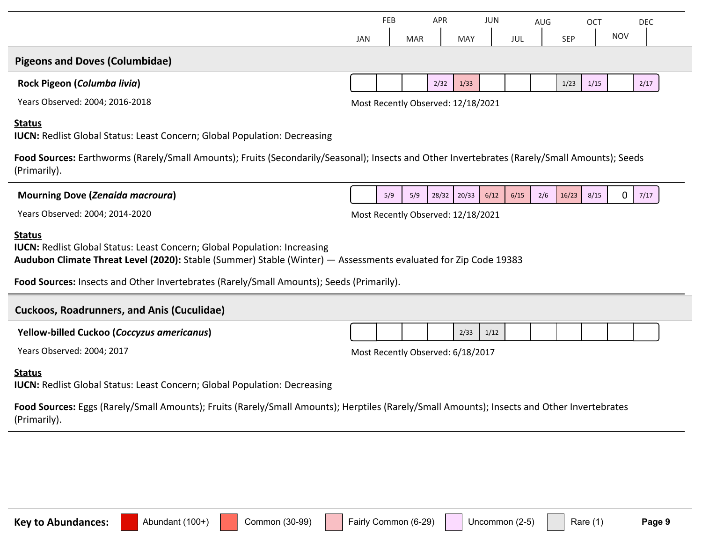|                                                                                                                                                               | <b>FEB</b><br><b>APR</b><br>JUN<br>AUG<br><b>OCT</b><br><b>NOV</b><br><b>SEP</b><br>JAN<br><b>MAY</b><br>JUL<br><b>MAR</b> | <b>DEC</b> |
|---------------------------------------------------------------------------------------------------------------------------------------------------------------|----------------------------------------------------------------------------------------------------------------------------|------------|
| <b>Pigeons and Doves (Columbidae)</b>                                                                                                                         |                                                                                                                            |            |
| Rock Pigeon (Columba livia)                                                                                                                                   | 2/32<br>1/33<br>1/23<br>1/15                                                                                               | 2/17       |
| Years Observed: 2004; 2016-2018                                                                                                                               | Most Recently Observed: 12/18/2021                                                                                         |            |
| <b>Status</b><br><b>IUCN:</b> Redlist Global Status: Least Concern; Global Population: Decreasing                                                             |                                                                                                                            |            |
| Food Sources: Earthworms (Rarely/Small Amounts); Fruits (Secondarily/Seasonal); Insects and Other Invertebrates (Rarely/Small Amounts); Seeds<br>(Primarily). |                                                                                                                            |            |
| Mourning Dove (Zenaida macroura)                                                                                                                              | 0<br>28/32<br>20/33<br>6/12<br>6/15<br>2/6<br>16/23<br>5/9<br>5/9<br>8/15                                                  | 7/17       |
| Years Observed: 2004; 2014-2020                                                                                                                               | Most Recently Observed: 12/18/2021                                                                                         |            |
| <b>Status</b><br><b>IUCN:</b> Redlist Global Status: Least Concern; Global Population: Increasing                                                             |                                                                                                                            |            |

**Food Sources:** Insects and Other Invertebrates (Rarely/Small Amounts); Seeds (Primarily).

| <b>Cuckoos, Roadrunners, and Anis (Cuculidae)</b> |  |  |      |      |  |  |  |  |
|---------------------------------------------------|--|--|------|------|--|--|--|--|
| <b>Yellow-billed Cuckoo (Coccyzus americanus)</b> |  |  | 2/33 | 1/12 |  |  |  |  |

Years Observed: 2004; 2017 and 2004 and 2017 and 2018/2017 Most Recently Observed: 6/18/2017

#### **Status**

**IUCN: Redlist Global Status: Least Concern; Global Population: Decreasing** 

**Food Sources:** Eggs (Rarely/Small Amounts); Fruits (Rarely/Small Amounts); Herptiles (Rarely/Small Amounts); Insects and Other Invertebrates (Primarily).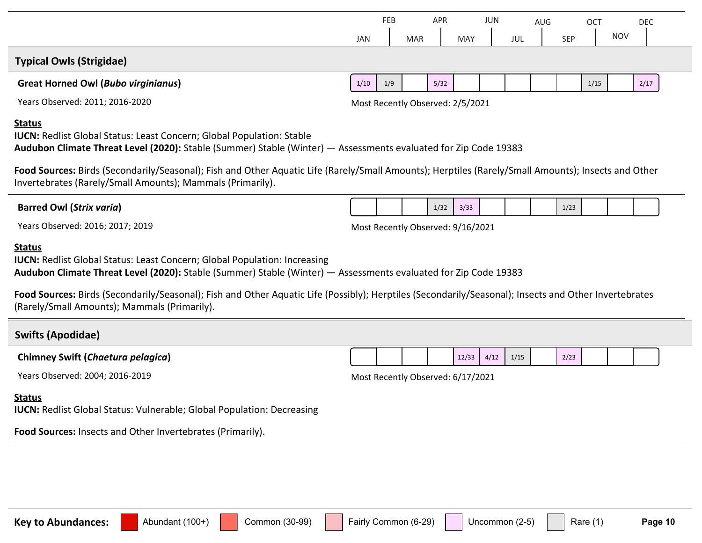| <b>Typical Owls (Strigidae)</b><br><b>Great Horned Owl (Bubo virginianus)</b><br>Years Observed: 2011; 2016-2020<br><b>Status</b><br><b>IUCN:</b> Redlist Global Status: Least Concern; Global Population: Stable<br>Invertebrates (Rarely/Small Amounts); Mammals (Primarily).<br><b>Barred Owl (Strix varia)</b>                                                                                                            | 1/10 | 1/9 |  | 5/32 | Most Recently Observed: 2/5/2021  |      |      |  |      | 1/15 |  | 2/17 |  |  |
|-------------------------------------------------------------------------------------------------------------------------------------------------------------------------------------------------------------------------------------------------------------------------------------------------------------------------------------------------------------------------------------------------------------------------------|------|-----|--|------|-----------------------------------|------|------|--|------|------|--|------|--|--|
|                                                                                                                                                                                                                                                                                                                                                                                                                               |      |     |  |      |                                   |      |      |  |      |      |  |      |  |  |
|                                                                                                                                                                                                                                                                                                                                                                                                                               |      |     |  |      |                                   |      |      |  |      |      |  |      |  |  |
|                                                                                                                                                                                                                                                                                                                                                                                                                               |      |     |  |      |                                   |      |      |  |      |      |  |      |  |  |
| Audubon Climate Threat Level (2020): Stable (Summer) Stable (Winter) - Assessments evaluated for Zip Code 19383<br>Food Sources: Birds (Secondarily/Seasonal); Fish and Other Aquatic Life (Rarely/Small Amounts); Herptiles (Rarely/Small Amounts); Insects and Other<br>1/32<br>3/33<br>1/23<br>Years Observed: 2016; 2017; 2019<br>Most Recently Observed: 9/16/2021                                                       |      |     |  |      |                                   |      |      |  |      |      |  |      |  |  |
|                                                                                                                                                                                                                                                                                                                                                                                                                               |      |     |  |      |                                   |      |      |  |      |      |  |      |  |  |
|                                                                                                                                                                                                                                                                                                                                                                                                                               |      |     |  |      |                                   |      |      |  |      |      |  |      |  |  |
| <b>Status</b><br><b>IUCN:</b> Redlist Global Status: Least Concern; Global Population: Increasing<br>Audubon Climate Threat Level (2020): Stable (Summer) Stable (Winter) - Assessments evaluated for Zip Code 19383<br>Food Sources: Birds (Secondarily/Seasonal); Fish and Other Aquatic Life (Possibly); Herptiles (Secondarily/Seasonal); Insects and Other Invertebrates<br>(Rarely/Small Amounts); Mammals (Primarily). |      |     |  |      |                                   |      |      |  |      |      |  |      |  |  |
| <b>Swifts (Apodidae)</b>                                                                                                                                                                                                                                                                                                                                                                                                      |      |     |  |      |                                   |      |      |  |      |      |  |      |  |  |
| <b>Chimney Swift (Chaetura pelagica)</b>                                                                                                                                                                                                                                                                                                                                                                                      |      |     |  |      | 12/33                             | 4/12 | 1/15 |  | 2/23 |      |  |      |  |  |
| Years Observed: 2004; 2016-2019                                                                                                                                                                                                                                                                                                                                                                                               |      |     |  |      | Most Recently Observed: 6/17/2021 |      |      |  |      |      |  |      |  |  |
| <b>Status</b><br><b>IUCN: Redlist Global Status: Vulnerable; Global Population: Decreasing</b>                                                                                                                                                                                                                                                                                                                                |      |     |  |      |                                   |      |      |  |      |      |  |      |  |  |
| Food Sources: Insects and Other Invertebrates (Primarily).                                                                                                                                                                                                                                                                                                                                                                    |      |     |  |      |                                   |      |      |  |      |      |  |      |  |  |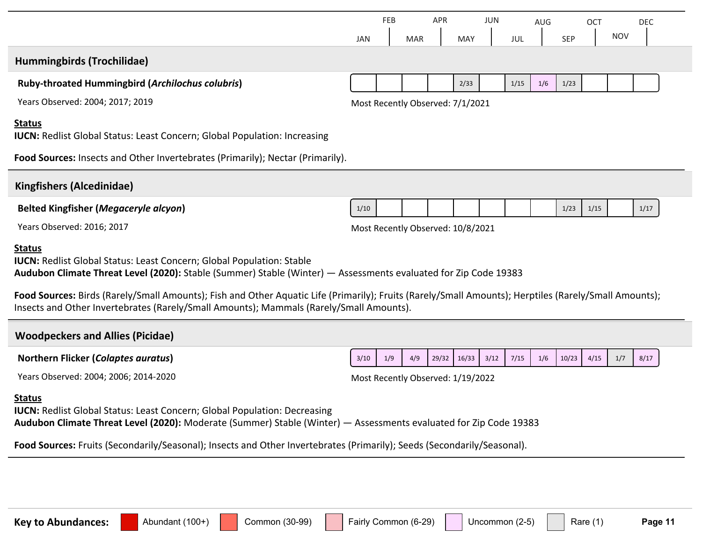|                                                                                                                                                                                                                                                                                                                                                                                                                                                                      | JAN                               | FEB | <b>MAR</b> | APR   | MAY                               | JUN  | JUL  | AUG | <b>SEP</b> | <b>OCT</b> | <b>NOV</b> | <b>DEC</b> |  |
|----------------------------------------------------------------------------------------------------------------------------------------------------------------------------------------------------------------------------------------------------------------------------------------------------------------------------------------------------------------------------------------------------------------------------------------------------------------------|-----------------------------------|-----|------------|-------|-----------------------------------|------|------|-----|------------|------------|------------|------------|--|
| Hummingbirds (Trochilidae)                                                                                                                                                                                                                                                                                                                                                                                                                                           |                                   |     |            |       |                                   |      |      |     |            |            |            |            |  |
| <b>Ruby-throated Hummingbird (Archilochus colubris)</b>                                                                                                                                                                                                                                                                                                                                                                                                              |                                   |     |            |       | 2/33                              |      | 1/15 | 1/6 | 1/23       |            |            |            |  |
| Years Observed: 2004; 2017; 2019                                                                                                                                                                                                                                                                                                                                                                                                                                     |                                   |     |            |       | Most Recently Observed: 7/1/2021  |      |      |     |            |            |            |            |  |
| <b>Status</b><br><b>IUCN:</b> Redlist Global Status: Least Concern; Global Population: Increasing                                                                                                                                                                                                                                                                                                                                                                    |                                   |     |            |       |                                   |      |      |     |            |            |            |            |  |
| Food Sources: Insects and Other Invertebrates (Primarily); Nectar (Primarily).                                                                                                                                                                                                                                                                                                                                                                                       |                                   |     |            |       |                                   |      |      |     |            |            |            |            |  |
| <b>Kingfishers (Alcedinidae)</b>                                                                                                                                                                                                                                                                                                                                                                                                                                     |                                   |     |            |       |                                   |      |      |     |            |            |            |            |  |
| <b>Belted Kingfisher (Megaceryle alcyon)</b>                                                                                                                                                                                                                                                                                                                                                                                                                         | 1/10                              |     |            |       |                                   |      |      |     | 1/23       | 1/15       |            | 1/17       |  |
| Years Observed: 2016; 2017                                                                                                                                                                                                                                                                                                                                                                                                                                           |                                   |     |            |       | Most Recently Observed: 10/8/2021 |      |      |     |            |            |            |            |  |
| <b>Status</b><br><b>IUCN:</b> Redlist Global Status: Least Concern; Global Population: Stable<br>Audubon Climate Threat Level (2020): Stable (Summer) Stable (Winter) — Assessments evaluated for Zip Code 19383<br>Food Sources: Birds (Rarely/Small Amounts); Fish and Other Aquatic Life (Primarily); Fruits (Rarely/Small Amounts); Herptiles (Rarely/Small Amounts);<br>Insects and Other Invertebrates (Rarely/Small Amounts); Mammals (Rarely/Small Amounts). |                                   |     |            |       |                                   |      |      |     |            |            |            |            |  |
|                                                                                                                                                                                                                                                                                                                                                                                                                                                                      |                                   |     |            |       |                                   |      |      |     |            |            |            |            |  |
| <b>Woodpeckers and Allies (Picidae)</b>                                                                                                                                                                                                                                                                                                                                                                                                                              |                                   |     |            |       |                                   |      |      |     |            |            |            |            |  |
| <b>Northern Flicker (Colaptes auratus)</b>                                                                                                                                                                                                                                                                                                                                                                                                                           | 3/10                              | 1/9 | 4/9        | 29/32 | 16/33                             | 3/12 | 7/15 | 1/6 | 10/23      | 4/15       | 1/7        | 8/17       |  |
| Years Observed: 2004; 2006; 2014-2020                                                                                                                                                                                                                                                                                                                                                                                                                                | Most Recently Observed: 1/19/2022 |     |            |       |                                   |      |      |     |            |            |            |            |  |
| <b>Status</b><br><b>IUCN:</b> Redlist Global Status: Least Concern; Global Population: Decreasing<br>Audubon Climate Threat Level (2020): Moderate (Summer) Stable (Winter) - Assessments evaluated for Zip Code 19383                                                                                                                                                                                                                                               |                                   |     |            |       |                                   |      |      |     |            |            |            |            |  |
| Food Sources: Fruits (Secondarily/Seasonal); Insects and Other Invertebrates (Primarily); Seeds (Secondarily/Seasonal).                                                                                                                                                                                                                                                                                                                                              |                                   |     |            |       |                                   |      |      |     |            |            |            |            |  |
|                                                                                                                                                                                                                                                                                                                                                                                                                                                                      |                                   |     |            |       |                                   |      |      |     |            |            |            |            |  |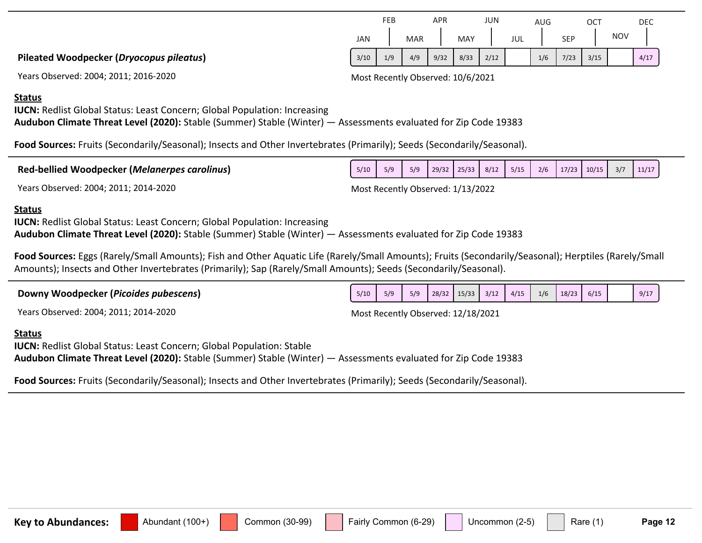|                                          |      | FEB |            | APR  |            | <b>JUN</b> |     | AUG |            | OC1  |            | DEC  |  |
|------------------------------------------|------|-----|------------|------|------------|------------|-----|-----|------------|------|------------|------|--|
|                                          | JAN  |     | <b>MAR</b> |      | <b>MAY</b> |            | JUL |     | <b>SEP</b> |      | <b>NOV</b> |      |  |
| Pileated Woodpecker (Dryocopus pileatus) | 3/10 | 1/9 | 4/9        | 9/32 | 8/33       | 2/12       |     | 1/6 | 7/23       | 3/15 |            | 4/17 |  |

Years Observed: 2004; 2011; 2016-2020 Most Recently Observed: 10/6/2021

#### **Status**

**IUCN:** Redlist Global Status: Least Concern; Global Population: Increasing

**Audubon Climate Threat Level (2020):** Stable (Summer) Stable (Winter) — Assessments evaluated for Zip Code 19383

**Food Sources:** Fruits (Secondarily/Seasonal); Insects and Other Invertebrates (Primarily); Seeds (Secondarily/Seasonal).

| <b>Red-bellied Woodpecker (Melanerpes carolinus)</b> |  |   |  |  |  |  |  |
|------------------------------------------------------|--|---|--|--|--|--|--|
| $\begin{array}{c} \n\end{array}$<br>$\mathbf{v}$     |  | . |  |  |  |  |  |

Years Observed: 2004; 2011; 2014-2020 Most Recently Observed: 1/13/2022

#### **Status**

**IUCN:** Redlist Global Status: Least Concern; Global Population: Increasing **Audubon Climate Threat Level (2020):** Stable (Summer) Stable (Winter) — Assessments evaluated for Zip Code 19383

**Food Sources:** Eggs (Rarely/Small Amounts); Fish and Other Aquatic Life (Rarely/Small Amounts); Fruits (Secondarily/Seasonal); Herptiles (Rarely/Small Amounts); Insects and Other Invertebrates (Primarily); Sap (Rarely/Small Amounts); Seeds (Secondarily/Seasonal).

| Most Recently Observed: 12/18/2021 |  |  |  |  |
|------------------------------------|--|--|--|--|
|                                    |  |  |  |  |
|                                    |  |  |  |  |
|                                    |  |  |  |  |

**Audubon Climate Threat Level (2020):** Stable (Summer) Stable (Winter) — Assessments evaluated for Zip Code 19383

**Food Sources:** Fruits (Secondarily/Seasonal); Insects and Other Invertebrates (Primarily); Seeds (Secondarily/Seasonal).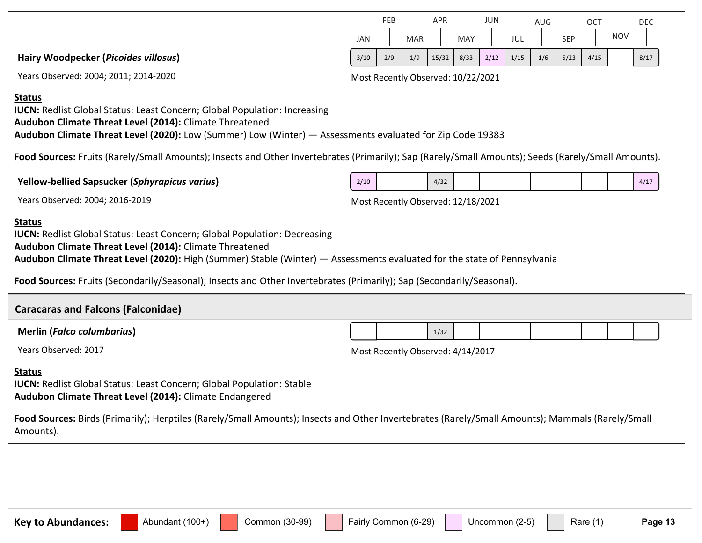|                                      |            | FEB |            | APR   |      | JUN  |      | AUG |            | <b>OCT</b> |            | DEC  |
|--------------------------------------|------------|-----|------------|-------|------|------|------|-----|------------|------------|------------|------|
|                                      | <b>JAN</b> |     | <b>MAR</b> |       | MAY  |      | JUL  |     | <b>SEP</b> |            | <b>NOV</b> |      |
| Hairy Woodpecker (Picoides villosus) | 3/10       | 2/9 | 1/9        | 15/32 | 8/33 | 2/12 | 1/15 | 1/6 | 5/23       | 4/15       |            | 8/17 |

Years Observed: 2004; 2011; 2014-2020 Most Recently Observed: 10/22/2021

#### **Status**

**IUCN:** Redlist Global Status: Least Concern; Global Population: Increasing **Audubon Climate Threat Level (2014):** Climate Threatened **Audubon Climate Threat Level (2020):** Low (Summer) Low (Winter) — Assessments evaluated for Zip Code 19383

**Food Sources:** Fruits (Rarely/Small Amounts); Insects and Other Invertebrates (Primarily); Sap (Rarely/Small Amounts); Seeds (Rarely/Small Amounts).

**Yellow-bellied Sapsucker (***Sphyrapicus varius***)**

Years Observed: 2004; 2016-2019 Most Recently Observed: 12/18/2021

#### **Status**

**IUCN:** Redlist Global Status: Least Concern; Global Population: Decreasing

**Audubon Climate Threat Level (2014):** Climate Threatened

**Audubon Climate Threat Level (2020):** High (Summer) Stable (Winter) — Assessments evaluated for the state of Pennsylvania

**Food Sources:** Fruits (Secondarily/Seasonal); Insects and Other Invertebrates (Primarily); Sap (Secondarily/Seasonal).

#### **Caracaras and Falcons (Falconidae)**

|  |  | <b>Merlin (Falco columbarius)</b> |
|--|--|-----------------------------------|
|--|--|-----------------------------------|

Years Observed: 2017 2017 2017 2017

1/321

#### **Status**

**IUCN:** Redlist Global Status: Least Concern; Global Population: Stable **Audubon Climate Threat Level (2014):** Climate Endangered

**Food Sources:** Birds (Primarily); Herptiles (Rarely/Small Amounts); Insects and Other Invertebrates (Rarely/Small Amounts); Mammals (Rarely/Small Amounts).

 $2/10$  4/32 4/32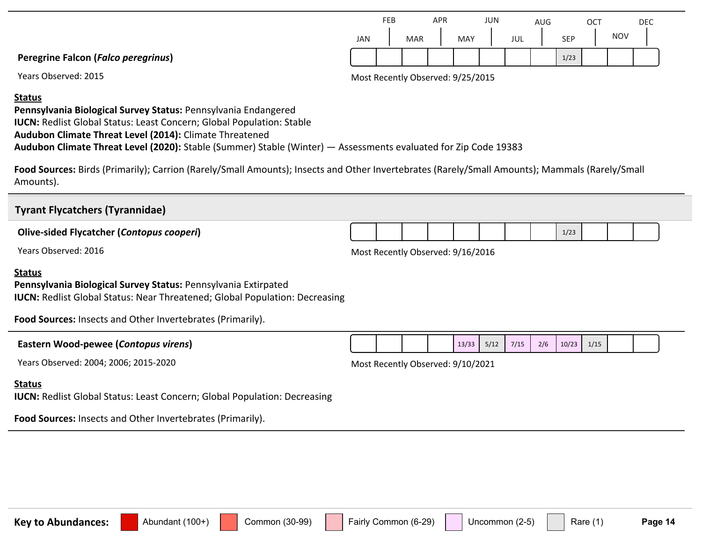|                                            |     | FEB |     | APR |     | JUN |     | AUG |            | ОСТ |            | DEC |
|--------------------------------------------|-----|-----|-----|-----|-----|-----|-----|-----|------------|-----|------------|-----|
|                                            | JAN |     | MAR |     | MAY |     | JUL |     | <b>SEP</b> |     | <b>NOV</b> |     |
| <b>Peregrine Falcon (Falco peregrinus)</b> |     |     |     |     |     |     |     |     | 1/23       |     |            |     |

Years Observed: 2015 2015 2015 2015 2016 2017 2018 2019 2019 2018 2019 2019 2018 2019 2019 2019 2018 2019 201

#### **Status**

**Pennsylvania Biological Survey Status:** Pennsylvania Endangered **IUCN:** Redlist Global Status: Least Concern; Global Population: Stable **Audubon Climate Threat Level (2014):** Climate Threatened **Audubon Climate Threat Level (2020):** Stable (Summer) Stable (Winter) — Assessments evaluated for Zip Code 19383

**Food Sources:** Birds (Primarily); Carrion (Rarely/Small Amounts); Insects and Other Invertebrates (Rarely/Small Amounts); Mammals (Rarely/Small Amounts).

| <b>Tyrant Flycatchers (Tyrannidae)</b>                                                                                                                                                                                              |                                   |  |       |      |      |     |       |      |  |  |
|-------------------------------------------------------------------------------------------------------------------------------------------------------------------------------------------------------------------------------------|-----------------------------------|--|-------|------|------|-----|-------|------|--|--|
| <b>Olive-sided Flycatcher (Contopus cooperi)</b>                                                                                                                                                                                    |                                   |  |       |      |      |     | 1/23  |      |  |  |
| Years Observed: 2016                                                                                                                                                                                                                | Most Recently Observed: 9/16/2016 |  |       |      |      |     |       |      |  |  |
| <b>Status</b><br>Pennsylvania Biological Survey Status: Pennsylvania Extirpated<br><b>IUCN:</b> Redlist Global Status: Near Threatened; Global Population: Decreasing<br>Food Sources: Insects and Other Invertebrates (Primarily). |                                   |  |       |      |      |     |       |      |  |  |
| Eastern Wood-pewee (Contopus virens)                                                                                                                                                                                                |                                   |  | 13/33 | 5/12 | 7/15 | 2/6 | 10/23 | 1/15 |  |  |
| Years Observed: 2004; 2006; 2015-2020                                                                                                                                                                                               | Most Recently Observed: 9/10/2021 |  |       |      |      |     |       |      |  |  |
| <b>Status</b>                                                                                                                                                                                                                       |                                   |  |       |      |      |     |       |      |  |  |

**IUCN: Redlist Global Status: Least Concern; Global Population: Decreasing** 

**Food Sources:** Insects and Other Invertebrates (Primarily).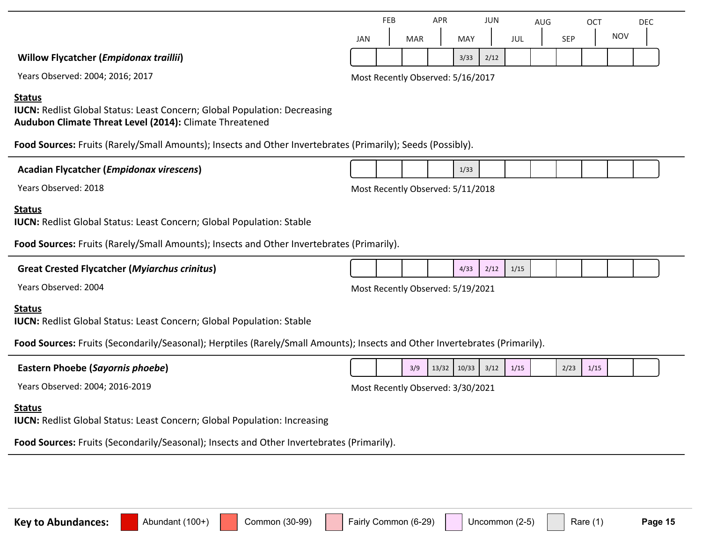|                                               |                                   | FEB |            | <b>APR</b> |      | JUN  |     | <b>AUG</b> |            | ОСТ |            | <b>DEC</b> |
|-----------------------------------------------|-----------------------------------|-----|------------|------------|------|------|-----|------------|------------|-----|------------|------------|
|                                               | <b>JAN</b>                        |     | <b>MAR</b> |            | MAY  |      | JUL |            | <b>SEP</b> |     | <b>NOV</b> |            |
| <b>Willow Flycatcher (Empidonax traillii)</b> |                                   |     |            |            | 3/33 | 2/12 |     |            |            |     |            |            |
| Years Observed: 2004; 2016; 2017              | Most Recently Observed: 5/16/2017 |     |            |            |      |      |     |            |            |     |            |            |

#### **Status**

**IUCN:** Redlist Global Status: Least Concern; Global Population: Decreasing **Audubon Climate Threat Level (2014):** Climate Threatened

**Food Sources:** Fruits (Rarely/Small Amounts); Insects and Other Invertebrates (Primarily); Seeds (Possibly).

#### **Acadian Flycatcher (***Empidonax virescens***)**

Years Observed: 2018 2018 2018 and the US and the Most Recently Observed: 5/11/2018

#### **Status**

**IUCN:** Redlist Global Status: Least Concern; Global Population: Stable

**Food Sources:** Fruits (Rarely/Small Amounts); Insects and Other Invertebrates (Primarily).

| <b>Great Crested Flycatcher (Myiarchus crinitus)</b> |  |  |  |  | 4/33 | 2/12 | 1/15 |  |  |  |  |  |  |
|------------------------------------------------------|--|--|--|--|------|------|------|--|--|--|--|--|--|
|------------------------------------------------------|--|--|--|--|------|------|------|--|--|--|--|--|--|

Years Observed: 2004 2004 2004 2004 2005 2006 2010 2021 2021 2021

#### **Status**

**IUCN:** Redlist Global Status: Least Concern; Global Population: Stable

**Food Sources:** Fruits (Secondarily/Seasonal); Herptiles (Rarely/Small Amounts); Insects and Other Invertebrates (Primarily).

| Eastern Phoebe (Sayornis phoebe) |                                   |  | $3/9$ 13/32 10/33 3/12 1/15 |  | 2/23 | 1/15 |  |
|----------------------------------|-----------------------------------|--|-----------------------------|--|------|------|--|
| Years Observed: 2004; 2016-2019  | Most Recently Observed: 3/30/2021 |  |                             |  |      |      |  |

#### **Status**

**IUCN:** Redlist Global Status: Least Concern; Global Population: Increasing

**Food Sources:** Fruits (Secondarily/Seasonal); Insects and Other Invertebrates (Primarily).



1/331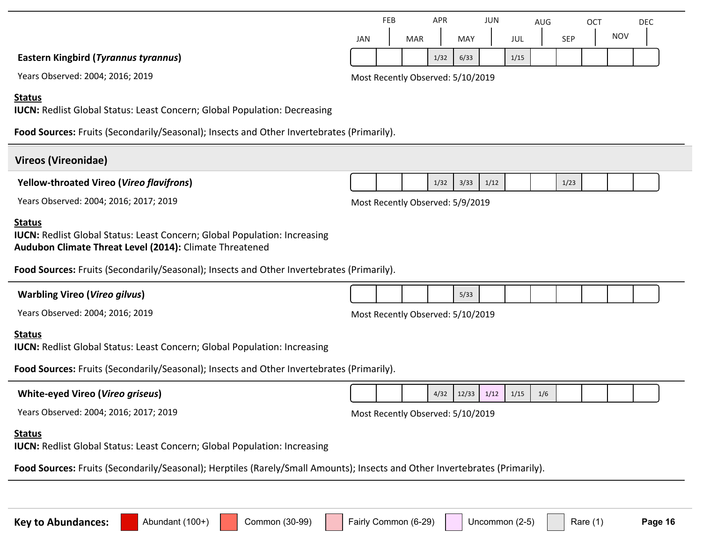# **Food Sources:** Fruits (Secondarily/Seasonal); Insects and Other Invertebrates (Primarily). **Status IUCN:** Redlist Global Status: Least Concern; Global Population: Decreasing **Vireos (Vireonidae) Yellow-throated Vireo (***Vireo flavifrons***)** Years Observed: 2004; 2016; 2017; 2019 Most Recently Observed: 5/9/2019 1/32 3/33 1/12 **Food Sources:** Fruits (Secondarily/Seasonal); Insects and Other Invertebrates (Primarily). **Status IUCN:** Redlist Global Status: Least Concern; Global Population: Increasing **Audubon Climate Threat Level (2014):** Climate Threatened **Warbling Vireo (***Vireo gilvus***)** Years Observed: 2004; 2016; 2019 Most Recently Observed: 5/10/2019 5/331 **Food Sources:** Fruits (Secondarily/Seasonal); Insects and Other Invertebrates (Primarily). **Status IUCN:** Redlist Global Status: Least Concern; Global Population: Increasing **White-eyed Vireo (***Vireo griseus***)** Years Observed: 2004; 2016; 2017; 2019 Most Recently Observed: 5/10/2019  $4/32$  12/33 1/12 1/15 1/6 **Food Sources:** Fruits (Secondarily/Seasonal); Herptiles (Rarely/Small Amounts); Insects and Other Invertebrates (Primarily). **Status IUCN:** Redlist Global Status: Least Concern; Global Population: Increasing

#### **Key to Abundances:** Abundant (100+) Common (30-99) Fairly Common (6-29) Uncommon (2-5) Rare (1) Page 16

JAN FEB MAR APR MAY JUN JUL AUG SEP **OCT** NOV DEC  $1/32$  6/33 1/15

**Eastern Kingbird (***Tyrannus tyrannus***)**

Years Observed: 2004; 2016; 2019 Most Recently Observed: 5/10/2019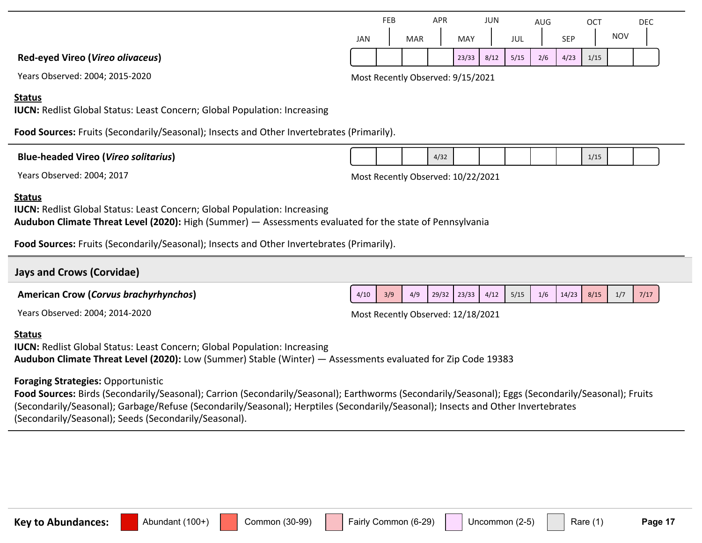|     | <b>FEB</b> |            | APR |            | JUN  |      | AUG |            | ОСТ  |            | DEC |
|-----|------------|------------|-----|------------|------|------|-----|------------|------|------------|-----|
| JAN |            | <b>MAR</b> |     | <b>MAY</b> |      | JUL  |     | <b>SEP</b> |      | <b>NOV</b> |     |
|     |            |            |     | 23/33      | 8/12 | 5/15 | 2/6 | 4/23       | 1/15 |            |     |

 $4/32$  1/15

**Red-eyed Vireo (***Vireo olivaceus***)**

Years Observed: 2004; 2015-2020 Most Recently Observed: 9/15/2021

#### **Status**

**IUCN:** Redlist Global Status: Least Concern; Global Population: Increasing

**Food Sources:** Fruits (Secondarily/Seasonal); Insects and Other Invertebrates (Primarily).

| <b>Blue-headed Vireo (Vireo solitarius)</b> |  |
|---------------------------------------------|--|
|---------------------------------------------|--|

Years Observed: 2004; 2017 Most Recently Observed: 10/22/2021

#### **Status**

**IUCN:** Redlist Global Status: Least Concern; Global Population: Increasing **Audubon Climate Threat Level (2020):** High (Summer) — Assessments evaluated for the state of Pennsylvania

**Food Sources:** Fruits (Secondarily/Seasonal); Insects and Other Invertebrates (Primarily).

# **Jays and Crows (Corvidae)**  $4/10$   $3/9$   $4/9$   $29/32$   $23/33$   $4/12$   $5/15$   $1/6$   $14/23$   $8/15$   $1/7$   $7/17$

**American Crow (***Corvus brachyrhynchos***)**

Most Recently Observed: 12/18/2021

#### **Status**

**IUCN:** Redlist Global Status: Least Concern; Global Population: Increasing **Audubon Climate Threat Level (2020):** Low (Summer) Stable (Winter) — Assessments evaluated for Zip Code 19383

### **Foraging Strategies:** Opportunistic

Food Sources: Birds (Secondarily/Seasonal); Carrion (Secondarily/Seasonal); Earthworms (Secondarily/Seasonal); Eggs (Secondarily/Seasonal); Fruits (Secondarily/Seasonal); Garbage/Refuse (Secondarily/Seasonal); Herptiles (Secondarily/Seasonal); Insects and Other Invertebrates (Secondarily/Seasonal); Seeds (Secondarily/Seasonal).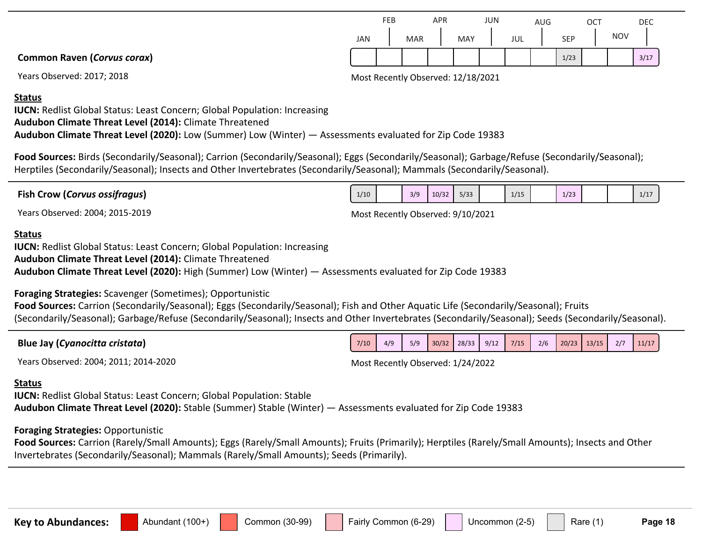|     | FEB |            | APR |     | <b>JUN</b> |     | <b>AUG</b> |      | ОСТ |            | <b>DEC</b> |  |
|-----|-----|------------|-----|-----|------------|-----|------------|------|-----|------------|------------|--|
| JAN |     | <b>MAR</b> |     | MAY |            | JUL |            | SEP  |     | <b>NOV</b> |            |  |
|     |     |            |     |     |            |     |            | 1/23 |     |            | 3/17       |  |

Years Observed: 2017; 2018 Most Recently Observed: 12/18/2021

**Common Raven (***Corvus corax***)**

#### **Status**

**IUCN:** Redlist Global Status: Least Concern; Global Population: Increasing **Audubon Climate Threat Level (2014):** Climate Threatened **Audubon Climate Threat Level (2020):** Low (Summer) Low (Winter) — Assessments evaluated for Zip Code 19383

**Food Sources:** Birds (Secondarily/Seasonal); Carrion (Secondarily/Seasonal); Eggs (Secondarily/Seasonal); Garbage/Refuse (Secondarily/Seasonal); Herptiles (Secondarily/Seasonal); Insects and Other Invertebrates (Secondarily/Seasonal); Mammals (Secondarily/Seasonal).

| <b>Fish Crow (Corvus ossifragus)</b> | 1/10 | 3/9 | 10/32 | 5/33 | 1/15 | 122<br>1/23 |  | $11 -$<br><b>TIT</b> |  |
|--------------------------------------|------|-----|-------|------|------|-------------|--|----------------------|--|
|                                      |      |     |       |      |      |             |  |                      |  |

Years Observed: 2004; 2015-2019 Most Recently Observed: 9/10/2021

#### **Status**

**IUCN:** Redlist Global Status: Least Concern; Global Population: Increasing **Audubon Climate Threat Level (2014):** Climate Threatened **Audubon Climate Threat Level (2020):** High (Summer) Low (Winter) — Assessments evaluated for Zip Code 19383

**Foraging Strategies:** Scavenger (Sometimes); Opportunistic

**Food Sources:** Carrion (Secondarily/Seasonal); Eggs (Secondarily/Seasonal); Fish and Other Aquatic Life (Secondarily/Seasonal); Fruits (Secondarily/Seasonal); Garbage/Refuse (Secondarily/Seasonal); Insects and Other Invertebrates (Secondarily/Seasonal); Seeds (Secondarily/Seasonal).

| Blue Jay (Cyanocitta cristata) | 7/10 | 4/9 | 5/9 | 30/32 | 28/33 | 9/12 | 7/15 | 2/6 | 20/23 | 13/15 | 2/7 | 11/17 |
|--------------------------------|------|-----|-----|-------|-------|------|------|-----|-------|-------|-----|-------|

Years Observed: 2004; 2011; 2014-2020 Most Recently Observed: 1/24/2022

#### **Status**

**IUCN:** Redlist Global Status: Least Concern; Global Population: Stable **Audubon Climate Threat Level (2020):** Stable (Summer) Stable (Winter) — Assessments evaluated for Zip Code 19383

#### **Foraging Strategies:** Opportunistic

**Food Sources:** Carrion (Rarely/Small Amounts); Eggs (Rarely/Small Amounts); Fruits (Primarily); Herptiles (Rarely/Small Amounts); Insects and Other Invertebrates (Secondarily/Seasonal); Mammals (Rarely/Small Amounts); Seeds (Primarily).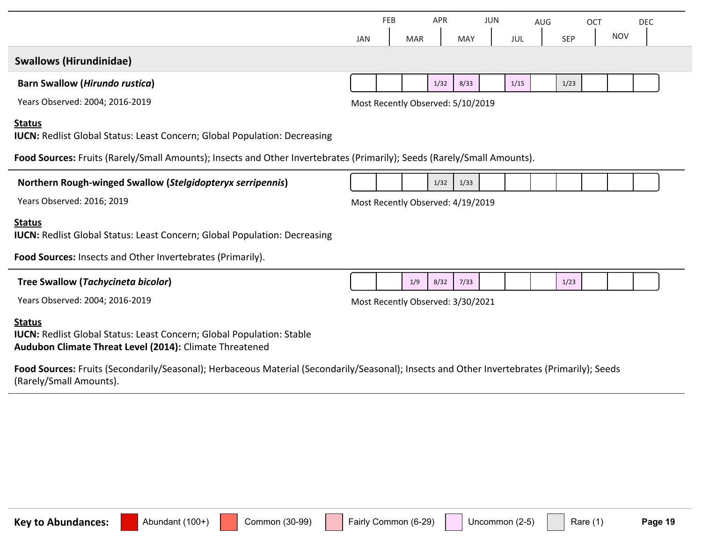|                                                                                                                                                                                                                              | <b>JAN</b> | FEB | <b>MAR</b> | <b>APR</b> | <b>MAY</b>                        | <b>JUN</b> | JUL  | <b>AUG</b> | <b>SEP</b> | OCT | <b>NOV</b> | <b>DEC</b> |
|------------------------------------------------------------------------------------------------------------------------------------------------------------------------------------------------------------------------------|------------|-----|------------|------------|-----------------------------------|------------|------|------------|------------|-----|------------|------------|
| <b>Swallows (Hirundinidae)</b>                                                                                                                                                                                               |            |     |            |            |                                   |            |      |            |            |     |            |            |
| <b>Barn Swallow (Hirundo rustica)</b>                                                                                                                                                                                        |            |     |            | 1/32       | 8/33                              |            | 1/15 |            | 1/23       |     |            |            |
| Years Observed: 2004; 2016-2019                                                                                                                                                                                              |            |     |            |            | Most Recently Observed: 5/10/2019 |            |      |            |            |     |            |            |
| <b>Status</b><br><b>IUCN: Redlist Global Status: Least Concern; Global Population: Decreasing</b><br>Food Sources: Fruits (Rarely/Small Amounts); Insects and Other Invertebrates (Primarily); Seeds (Rarely/Small Amounts). |            |     |            |            |                                   |            |      |            |            |     |            |            |
|                                                                                                                                                                                                                              |            |     |            |            |                                   |            |      |            |            |     |            |            |
| Northern Rough-winged Swallow (Stelgidopteryx serripennis)                                                                                                                                                                   |            |     |            | 1/32       | 1/33                              |            |      |            |            |     |            |            |
| Years Observed: 2016; 2019                                                                                                                                                                                                   |            |     |            |            | Most Recently Observed: 4/19/2019 |            |      |            |            |     |            |            |
| <b>Status</b><br><b>IUCN: Redlist Global Status: Least Concern; Global Population: Decreasing</b>                                                                                                                            |            |     |            |            |                                   |            |      |            |            |     |            |            |
| Food Sources: Insects and Other Invertebrates (Primarily).                                                                                                                                                                   |            |     |            |            |                                   |            |      |            |            |     |            |            |
| <b>Tree Swallow (Tachycineta bicolor)</b>                                                                                                                                                                                    |            |     | 1/9        | 8/32       | 7/33                              |            |      |            | 1/23       |     |            |            |
| Years Observed: 2004; 2016-2019                                                                                                                                                                                              |            |     |            |            | Most Recently Observed: 3/30/2021 |            |      |            |            |     |            |            |
| <b>Status</b><br><b>IUCN: Redlist Global Status: Least Concern; Global Population: Stable</b><br>Audubon Climate Threat Level (2014): Climate Threatened                                                                     |            |     |            |            |                                   |            |      |            |            |     |            |            |

**Food Sources:** Fruits (Secondarily/Seasonal); Herbaceous Material (Secondarily/Seasonal); Insects and Other Invertebrates (Primarily); Seeds (Rarely/Small Amounts).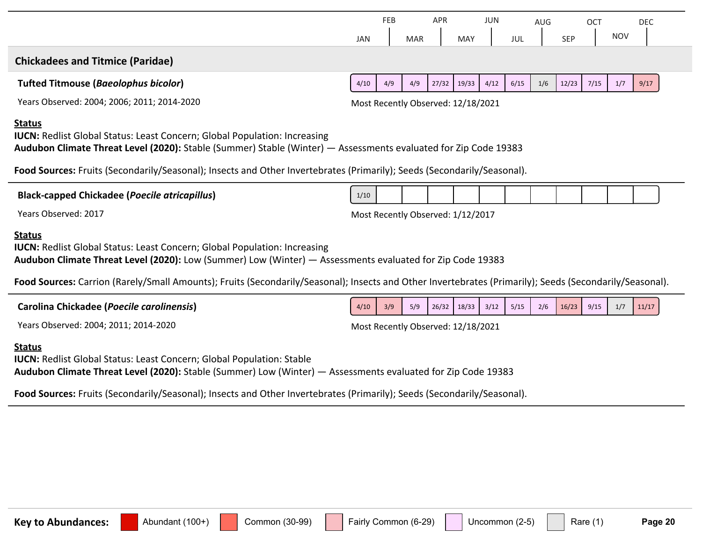|                                                                                                                                                                                                                      | <b>JAN</b>                         | FEB | <b>MAR</b> | APR   | <b>MAY</b> | JUN  | JUL  | AUG | <b>SEP</b> | OCT  | <b>NOV</b> | <b>DEC</b> |
|----------------------------------------------------------------------------------------------------------------------------------------------------------------------------------------------------------------------|------------------------------------|-----|------------|-------|------------|------|------|-----|------------|------|------------|------------|
| <b>Chickadees and Titmice (Paridae)</b>                                                                                                                                                                              |                                    |     |            |       |            |      |      |     |            |      |            |            |
| <b>Tufted Titmouse (Baeolophus bicolor)</b>                                                                                                                                                                          | 4/10                               | 4/9 | 4/9        | 27/32 | 19/33      | 4/12 | 6/15 | 1/6 | 12/23      | 7/15 | $1/7$      | 9/17       |
| Years Observed: 2004; 2006; 2011; 2014-2020                                                                                                                                                                          | Most Recently Observed: 12/18/2021 |     |            |       |            |      |      |     |            |      |            |            |
| <b>Status</b><br><b>IUCN:</b> Redlist Global Status: Least Concern; Global Population: Increasing<br>Audubon Climate Threat Level (2020): Stable (Summer) Stable (Winter) - Assessments evaluated for Zip Code 19383 |                                    |     |            |       |            |      |      |     |            |      |            |            |
| Food Sources: Fruits (Secondarily/Seasonal); Insects and Other Invertebrates (Primarily); Seeds (Secondarily/Seasonal).                                                                                              |                                    |     |            |       |            |      |      |     |            |      |            |            |
| <b>Black-capped Chickadee (Poecile atricapillus)</b>                                                                                                                                                                 | 1/10                               |     |            |       |            |      |      |     |            |      |            |            |
| Years Observed: 2017                                                                                                                                                                                                 | Most Recently Observed: 1/12/2017  |     |            |       |            |      |      |     |            |      |            |            |
| <b>Status</b><br><b>IUCN:</b> Redlist Global Status: Least Concern; Global Population: Increasing<br>Audubon Climate Threat Level (2020): Low (Summer) Low (Winter) - Assessments evaluated for Zip Code 19383       |                                    |     |            |       |            |      |      |     |            |      |            |            |
| Food Sources: Carrion (Rarely/Small Amounts); Fruits (Secondarily/Seasonal); Insects and Other Invertebrates (Primarily); Seeds (Secondarily/Seasonal).                                                              |                                    |     |            |       |            |      |      |     |            |      |            |            |
| Carolina Chickadee (Poecile carolinensis)                                                                                                                                                                            | 4/10                               | 3/9 | 5/9        | 26/32 | 18/33      | 3/12 | 5/15 | 2/6 | 16/23      | 9/15 | 1/7        | 11/17      |
| Years Observed: 2004; 2011; 2014-2020                                                                                                                                                                                | Most Recently Observed: 12/18/2021 |     |            |       |            |      |      |     |            |      |            |            |
| <b>Status</b><br><b>IUCN:</b> Redlist Global Status: Least Concern; Global Population: Stable<br>Audubon Climate Threat Level (2020): Stable (Summer) Low (Winter) — Assessments evaluated for Zip Code 19383        |                                    |     |            |       |            |      |      |     |            |      |            |            |
| Food Sources: Fruits (Secondarily/Seasonal); Insects and Other Invertebrates (Primarily); Seeds (Secondarily/Seasonal).                                                                                              |                                    |     |            |       |            |      |      |     |            |      |            |            |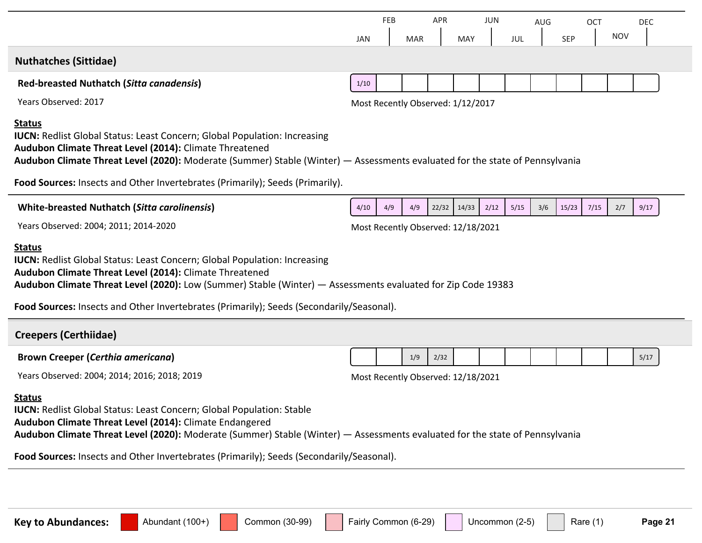| FEB<br><b>JAN</b> | <b>MAR</b>                                                                               | APR   | <b>MAY</b> | JUN  | JUL                                                                                                           | AUG                                                                                                          | <b>SEP</b> | <b>OCT</b> | <b>NOV</b>                                                                                                                   | <b>DEC</b> |
|-------------------|------------------------------------------------------------------------------------------|-------|------------|------|---------------------------------------------------------------------------------------------------------------|--------------------------------------------------------------------------------------------------------------|------------|------------|------------------------------------------------------------------------------------------------------------------------------|------------|
|                   |                                                                                          |       |            |      |                                                                                                               |                                                                                                              |            |            |                                                                                                                              |            |
| 1/10              |                                                                                          |       |            |      |                                                                                                               |                                                                                                              |            |            |                                                                                                                              |            |
|                   |                                                                                          |       |            |      |                                                                                                               |                                                                                                              |            |            |                                                                                                                              |            |
|                   |                                                                                          |       |            |      |                                                                                                               |                                                                                                              |            |            |                                                                                                                              |            |
|                   |                                                                                          |       |            |      |                                                                                                               |                                                                                                              |            |            |                                                                                                                              |            |
| 4/10<br>4/9       | 4/9                                                                                      | 22/32 | 14/33      | 2/12 | 5/15                                                                                                          | 3/6                                                                                                          | 15/23      | 7/15       | 2/7                                                                                                                          | 9/17       |
|                   |                                                                                          |       |            |      |                                                                                                               |                                                                                                              |            |            |                                                                                                                              |            |
|                   |                                                                                          |       |            |      |                                                                                                               |                                                                                                              |            |            |                                                                                                                              |            |
|                   |                                                                                          |       |            |      |                                                                                                               |                                                                                                              |            |            |                                                                                                                              |            |
|                   | 1/9                                                                                      | 2/32  |            |      |                                                                                                               |                                                                                                              |            |            |                                                                                                                              | 5/17       |
|                   |                                                                                          |       |            |      |                                                                                                               |                                                                                                              |            |            |                                                                                                                              |            |
|                   |                                                                                          |       |            |      |                                                                                                               |                                                                                                              |            |            |                                                                                                                              |            |
|                   | Food Sources: Insects and Other Invertebrates (Primarily); Seeds (Secondarily/Seasonal). |       |            |      | Most Recently Observed: 1/12/2017<br>Most Recently Observed: 12/18/2021<br>Most Recently Observed: 12/18/2021 | Audubon Climate Threat Level (2020): Low (Summer) Stable (Winter) — Assessments evaluated for Zip Code 19383 |            |            | Audubon Climate Threat Level (2020): Moderate (Summer) Stable (Winter) - Assessments evaluated for the state of Pennsylvania |            |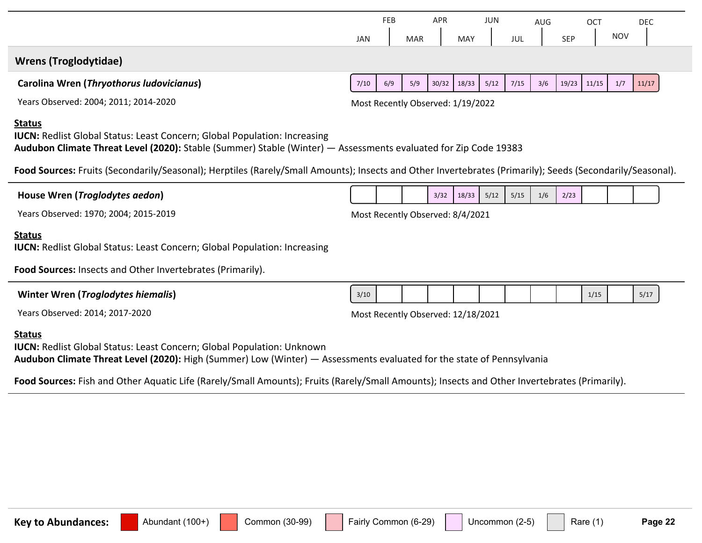|                                                                                                                                                                                                                                                                                                                                                                                   | <b>JAN</b> | <b>FEB</b> | <b>MAR</b> | <b>APR</b> | <b>MAY</b>                         | <b>JUN</b> | JUL  | AUG | <b>SEP</b> | <b>OCT</b> | <b>NOV</b> | <b>DEC</b> |
|-----------------------------------------------------------------------------------------------------------------------------------------------------------------------------------------------------------------------------------------------------------------------------------------------------------------------------------------------------------------------------------|------------|------------|------------|------------|------------------------------------|------------|------|-----|------------|------------|------------|------------|
| <b>Wrens (Troglodytidae)</b>                                                                                                                                                                                                                                                                                                                                                      |            |            |            |            |                                    |            |      |     |            |            |            |            |
| Carolina Wren (Thryothorus ludovicianus)                                                                                                                                                                                                                                                                                                                                          | 7/10       | 6/9        | 5/9        | 30/32      | 18/33                              | 5/12       | 7/15 | 3/6 | 19/23      | 11/15      | 1/7        | 11/17      |
| Years Observed: 2004; 2011; 2014-2020                                                                                                                                                                                                                                                                                                                                             |            |            |            |            | Most Recently Observed: 1/19/2022  |            |      |     |            |            |            |            |
| <b>Status</b><br><b>IUCN:</b> Redlist Global Status: Least Concern; Global Population: Increasing<br>Audubon Climate Threat Level (2020): Stable (Summer) Stable (Winter) - Assessments evaluated for Zip Code 19383<br>Food Sources: Fruits (Secondarily/Seasonal); Herptiles (Rarely/Small Amounts); Insects and Other Invertebrates (Primarily); Seeds (Secondarily/Seasonal). |            |            |            |            |                                    |            |      |     |            |            |            |            |
| House Wren (Troglodytes aedon)                                                                                                                                                                                                                                                                                                                                                    |            |            |            | 3/32       | 18/33                              | 5/12       | 5/15 | 1/6 | 2/23       |            |            |            |
| Years Observed: 1970; 2004; 2015-2019                                                                                                                                                                                                                                                                                                                                             |            |            |            |            | Most Recently Observed: 8/4/2021   |            |      |     |            |            |            |            |
| <b>Status</b><br><b>IUCN: Redlist Global Status: Least Concern; Global Population: Increasing</b>                                                                                                                                                                                                                                                                                 |            |            |            |            |                                    |            |      |     |            |            |            |            |
| Food Sources: Insects and Other Invertebrates (Primarily).                                                                                                                                                                                                                                                                                                                        |            |            |            |            |                                    |            |      |     |            |            |            |            |
| Winter Wren (Troglodytes hiemalis)                                                                                                                                                                                                                                                                                                                                                | 3/10       |            |            |            |                                    |            |      |     |            | 1/15       |            | 5/17       |
| Years Observed: 2014; 2017-2020                                                                                                                                                                                                                                                                                                                                                   |            |            |            |            | Most Recently Observed: 12/18/2021 |            |      |     |            |            |            |            |
| <b>Status</b><br><b>IUCN: Redlist Global Status: Least Concern; Global Population: Unknown</b><br>Audubon Climate Threat Level (2020): High (Summer) Low (Winter) - Assessments evaluated for the state of Pennsylvania                                                                                                                                                           |            |            |            |            |                                    |            |      |     |            |            |            |            |
| Food Sources: Fish and Other Aquatic Life (Rarely/Small Amounts); Fruits (Rarely/Small Amounts); Insects and Other Invertebrates (Primarily).                                                                                                                                                                                                                                     |            |            |            |            |                                    |            |      |     |            |            |            |            |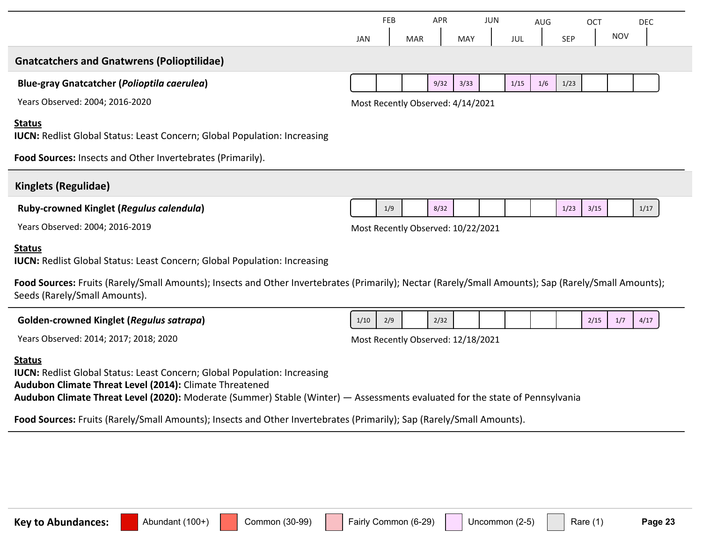|                                                                                                                                                                                                                                                                                              |            | <b>FEB</b> |            | <b>APR</b> |                                    | JUN |      | AUG |            | OCT  |            | <b>DEC</b> |
|----------------------------------------------------------------------------------------------------------------------------------------------------------------------------------------------------------------------------------------------------------------------------------------------|------------|------------|------------|------------|------------------------------------|-----|------|-----|------------|------|------------|------------|
|                                                                                                                                                                                                                                                                                              | <b>JAN</b> |            | <b>MAR</b> |            | <b>MAY</b>                         |     | JUL  |     | <b>SEP</b> |      | <b>NOV</b> |            |
| <b>Gnatcatchers and Gnatwrens (Polioptilidae)</b>                                                                                                                                                                                                                                            |            |            |            |            |                                    |     |      |     |            |      |            |            |
| <b>Blue-gray Gnatcatcher (Polioptila caerulea)</b>                                                                                                                                                                                                                                           |            |            |            | 9/32       | 3/33                               |     | 1/15 | 1/6 | 1/23       |      |            |            |
| Years Observed: 2004; 2016-2020                                                                                                                                                                                                                                                              |            |            |            |            | Most Recently Observed: 4/14/2021  |     |      |     |            |      |            |            |
| <b>Status</b><br><b>IUCN: Redlist Global Status: Least Concern; Global Population: Increasing</b>                                                                                                                                                                                            |            |            |            |            |                                    |     |      |     |            |      |            |            |
| Food Sources: Insects and Other Invertebrates (Primarily).                                                                                                                                                                                                                                   |            |            |            |            |                                    |     |      |     |            |      |            |            |
| Kinglets (Regulidae)                                                                                                                                                                                                                                                                         |            |            |            |            |                                    |     |      |     |            |      |            |            |
| Ruby-crowned Kinglet (Regulus calendula)                                                                                                                                                                                                                                                     |            | 1/9        |            | 8/32       |                                    |     |      |     | 1/23       | 3/15 |            | 1/17       |
| Years Observed: 2004; 2016-2019                                                                                                                                                                                                                                                              |            |            |            |            | Most Recently Observed: 10/22/2021 |     |      |     |            |      |            |            |
| <b>Status</b><br><b>IUCN:</b> Redlist Global Status: Least Concern; Global Population: Increasing                                                                                                                                                                                            |            |            |            |            |                                    |     |      |     |            |      |            |            |
| Food Sources: Fruits (Rarely/Small Amounts); Insects and Other Invertebrates (Primarily); Nectar (Rarely/Small Amounts); Sap (Rarely/Small Amounts);<br>Seeds (Rarely/Small Amounts).                                                                                                        |            |            |            |            |                                    |     |      |     |            |      |            |            |
| <b>Golden-crowned Kinglet (Regulus satrapa)</b>                                                                                                                                                                                                                                              | 1/10       | 2/9        |            | 2/32       |                                    |     |      |     |            | 2/15 | 1/7        | 4/17       |
| Years Observed: 2014; 2017; 2018; 2020                                                                                                                                                                                                                                                       |            |            |            |            | Most Recently Observed: 12/18/2021 |     |      |     |            |      |            |            |
| <b>Status</b><br><b>IUCN: Redlist Global Status: Least Concern; Global Population: Increasing</b><br>Audubon Climate Threat Level (2014): Climate Threatened<br>Audubon Climate Threat Level (2020): Moderate (Summer) Stable (Winter) - Assessments evaluated for the state of Pennsylvania |            |            |            |            |                                    |     |      |     |            |      |            |            |
| Food Sources: Fruits (Rarely/Small Amounts); Insects and Other Invertebrates (Primarily); Sap (Rarely/Small Amounts).                                                                                                                                                                        |            |            |            |            |                                    |     |      |     |            |      |            |            |
|                                                                                                                                                                                                                                                                                              |            |            |            |            |                                    |     |      |     |            |      |            |            |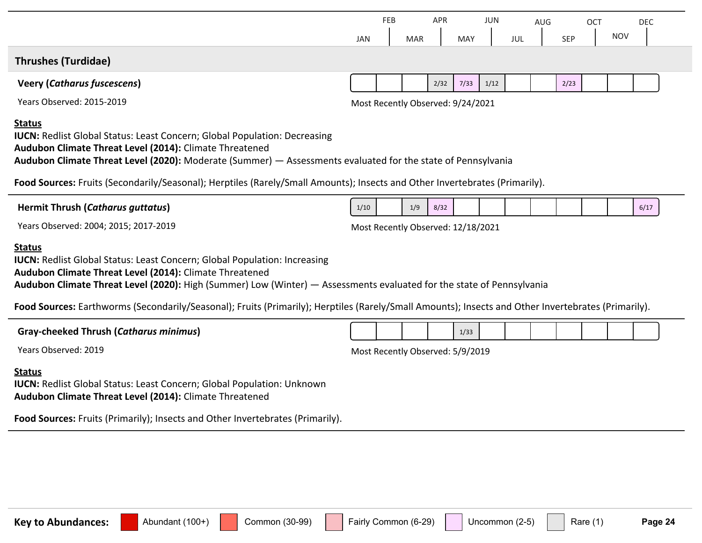|                                                                                                                                                                                                                                                                                                                                                                                                                                              |            | <b>FEB</b> |            | <b>APR</b> |                                    | <b>JUN</b> |     | AUG |            | OCT |            | <b>DEC</b> |
|----------------------------------------------------------------------------------------------------------------------------------------------------------------------------------------------------------------------------------------------------------------------------------------------------------------------------------------------------------------------------------------------------------------------------------------------|------------|------------|------------|------------|------------------------------------|------------|-----|-----|------------|-----|------------|------------|
|                                                                                                                                                                                                                                                                                                                                                                                                                                              | <b>JAN</b> |            | <b>MAR</b> |            | <b>MAY</b>                         |            | JUL |     | <b>SEP</b> |     | <b>NOV</b> |            |
| <b>Thrushes (Turdidae)</b>                                                                                                                                                                                                                                                                                                                                                                                                                   |            |            |            |            |                                    |            |     |     |            |     |            |            |
| <b>Veery (Catharus fuscescens)</b>                                                                                                                                                                                                                                                                                                                                                                                                           |            |            |            | 2/32       | 7/33                               | 1/12       |     |     | 2/23       |     |            |            |
| Years Observed: 2015-2019                                                                                                                                                                                                                                                                                                                                                                                                                    |            |            |            |            | Most Recently Observed: 9/24/2021  |            |     |     |            |     |            |            |
| <b>Status</b><br><b>IUCN: Redlist Global Status: Least Concern; Global Population: Decreasing</b><br>Audubon Climate Threat Level (2014): Climate Threatened<br>Audubon Climate Threat Level (2020): Moderate (Summer) - Assessments evaluated for the state of Pennsylvania                                                                                                                                                                 |            |            |            |            |                                    |            |     |     |            |     |            |            |
| Food Sources: Fruits (Secondarily/Seasonal); Herptiles (Rarely/Small Amounts); Insects and Other Invertebrates (Primarily).                                                                                                                                                                                                                                                                                                                  |            |            |            |            |                                    |            |     |     |            |     |            |            |
| <b>Hermit Thrush (Catharus guttatus)</b>                                                                                                                                                                                                                                                                                                                                                                                                     | 1/10       |            | 1/9        | 8/32       |                                    |            |     |     |            |     |            | 6/17       |
| Years Observed: 2004; 2015; 2017-2019                                                                                                                                                                                                                                                                                                                                                                                                        |            |            |            |            | Most Recently Observed: 12/18/2021 |            |     |     |            |     |            |            |
| <b>Status</b><br><b>IUCN:</b> Redlist Global Status: Least Concern; Global Population: Increasing<br>Audubon Climate Threat Level (2014): Climate Threatened<br>Audubon Climate Threat Level (2020): High (Summer) Low (Winter) - Assessments evaluated for the state of Pennsylvania<br>Food Sources: Earthworms (Secondarily/Seasonal); Fruits (Primarily); Herptiles (Rarely/Small Amounts); Insects and Other Invertebrates (Primarily). |            |            |            |            |                                    |            |     |     |            |     |            |            |
|                                                                                                                                                                                                                                                                                                                                                                                                                                              |            |            |            |            |                                    |            |     |     |            |     |            |            |
| <b>Gray-cheeked Thrush (Catharus minimus)</b>                                                                                                                                                                                                                                                                                                                                                                                                |            |            |            |            | 1/33                               |            |     |     |            |     |            |            |
| Years Observed: 2019                                                                                                                                                                                                                                                                                                                                                                                                                         |            |            |            |            | Most Recently Observed: 5/9/2019   |            |     |     |            |     |            |            |
| <b>Status</b><br><b>IUCN: Redlist Global Status: Least Concern; Global Population: Unknown</b><br>Audubon Climate Threat Level (2014): Climate Threatened                                                                                                                                                                                                                                                                                    |            |            |            |            |                                    |            |     |     |            |     |            |            |

**Food Sources:** Fruits (Primarily); Insects and Other Invertebrates (Primarily).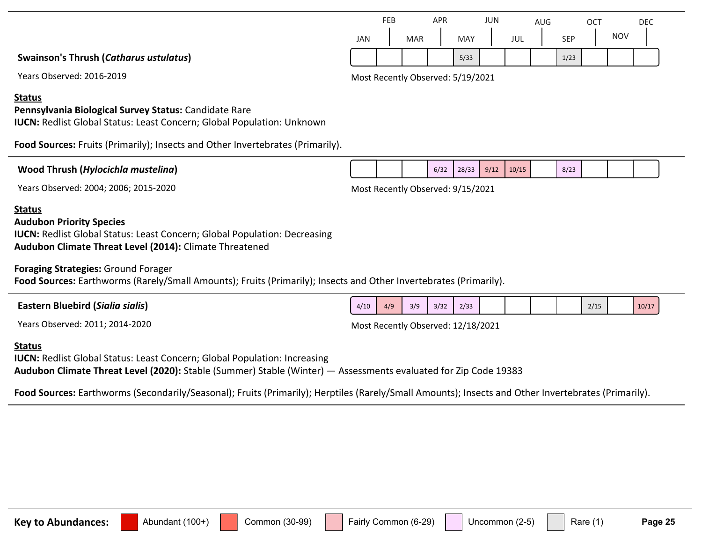|                                        |     | FEB |            | APR |            | JUN |     | AUG |            | OCT |            | DEC |  |
|----------------------------------------|-----|-----|------------|-----|------------|-----|-----|-----|------------|-----|------------|-----|--|
|                                        | JAN |     | <b>MAR</b> |     | <b>MAY</b> |     | JUL |     | <b>SEP</b> |     | <b>NOV</b> |     |  |
| Swainson's Thrush (Catharus ustulatus) |     |     |            |     | 5/33       |     |     |     | 1/23       |     |            |     |  |

Years Observed: 2016-2019 Most Recently Observed: 5/19/2021

#### **Status**

#### **Pennsylvania Biological Survey Status:** Candidate Rare

**IUCN:** Redlist Global Status: Least Concern; Global Population: Unknown

**Food Sources:** Fruits (Primarily); Insects and Other Invertebrates (Primarily).

| Wood Thrush (Hylocichla mustelina) |  |  |
|------------------------------------|--|--|
|------------------------------------|--|--|

 $6/32$  28/33 9/12 10/15 8/23

Years Observed: 2004; 2006; 2015-2020 Most Recently Observed: 9/15/2021

#### **Status**

#### **Audubon Priority Species**

**IUCN: Redlist Global Status: Least Concern; Global Population: Decreasing Audubon Climate Threat Level (2014):** Climate Threatened

**Foraging Strategies:** Ground Forager

**Food Sources:** Earthworms (Rarely/Small Amounts); Fruits (Primarily); Insects and Other Invertebrates (Primarily).

| า Bluebird ( <i>Sialia sialis</i> )<br>Eastern | 4/10 | 4/9 | 3/9 | 3/37<br>ے ر | 2/33 |  |  | 2/15 | 10/17 |
|------------------------------------------------|------|-----|-----|-------------|------|--|--|------|-------|
| $\mathbf{r}$<br>$\sim$                         |      |     |     |             |      |  |  |      |       |

Years Observed: 2011; 2014-2020 Most Recently Observed: 12/18/2021

#### **Status**

**IUCN: Redlist Global Status: Least Concern; Global Population: Increasing Audubon Climate Threat Level (2020):** Stable (Summer) Stable (Winter) — Assessments evaluated for Zip Code 19383

**Food Sources:** Earthworms (Secondarily/Seasonal); Fruits (Primarily); Herptiles (Rarely/Small Amounts); Insects and Other Invertebrates (Primarily).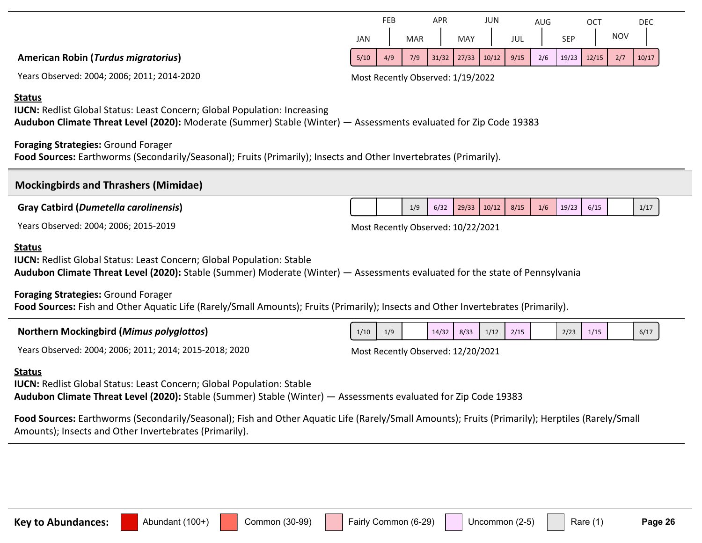| <b>Audubon Climate Threat</b> |
|-------------------------------|
|                               |

#### **Foraging Strategies:** Ground Forager

**Food Sources:** Fish and Other Aquatic Life (Rarely/Small Amounts); Fruits (Primarily); Insects and Other Invertebrates (Primarily).

| <b>Northern Mockingbird (Mimus polyglottos)</b> | 1/10 | 1/9 | 14/32 | 8/33 | 1/12 | 2/15 | 2/23 | 1/15<br>. | 6/17 |
|-------------------------------------------------|------|-----|-------|------|------|------|------|-----------|------|
|                                                 |      |     |       |      |      |      |      |           |      |



#### **IUCN: Redlist Global Status: Least Concern; Global Population: Stable Level (2020):** Stable (Summer) Moderate (Winter) — Assessments evaluated for the state of Pennsylvania

**American Robin (***Turdus migratorius***)**

**Foraging Strategies:** Ground Forager

**Mockingbirds and Thrashers (Mimidae)**

**Gray Catbird (***Dumetella carolinensis***)**

| <u><b>NUCHER MUCHINGUILA (MINIUS PUTYGIOLOS)</b></u> |  |  |
|------------------------------------------------------|--|--|
|                                                      |  |  |
|                                                      |  |  |

**IUCN:** Redlist Global Status: Least Concern; Global Population: Increasing

Years Observed: 2004; 2006; 2011; 2014-2020 Most Recently Observed: 1/19/2022

APR

FEB



AUG

**OCT** 

DEC

JUN

1/9 6/32 29/33 10/12 8/15 1/6 19/23 6/15

Years Observed: 2004; 2006; 2015-2019 Most Recently Observed: 10/22/2021

#### **Status**

**Status**

**Status**

**IUCN:** Redlist Global Status: Least Concern; Global Population: Stable **Audubon Climate Threat Level (2020):** Stable (Summer) Stable (Winter) — Assessments evaluated for Zip Code 19383

**Food Sources:** Earthworms (Secondarily/Seasonal); Fruits (Primarily); Insects and Other Invertebrates (Primarily).

**Audubon Climate Threat Level (2020):** Moderate (Summer) Stable (Winter) — Assessments evaluated for Zip Code 19383

**Food Sources:** Earthworms (Secondarily/Seasonal); Fish and Other Aquatic Life (Rarely/Small Amounts); Fruits (Primarily); Herptiles (Rarely/Small Amounts); Insects and Other Invertebrates (Primarily).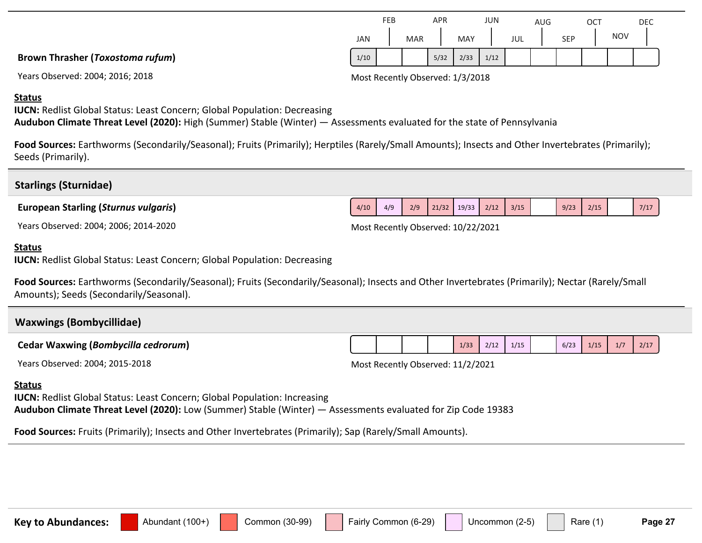|                                         | JAN  | <b>MAR</b> |      |  |
|-----------------------------------------|------|------------|------|--|
| <b>Brown Thrasher (Toxostoma rufum)</b> | 1/10 |            | 5/32 |  |

|      | <b>FEB</b> |            | APR  |            | JUN  |     | AUG |            | OC1 |            | <b>DEC</b> |
|------|------------|------------|------|------------|------|-----|-----|------------|-----|------------|------------|
| JAN  |            | <b>MAR</b> |      | <b>MAY</b> |      | JUL |     | <b>SEP</b> |     | <b>NOV</b> |            |
| 1/10 |            |            | 5/32 | 2/33       | 1/12 |     |     |            |     |            |            |

Years Observed: 2004; 2016; 2018 Most Recently Observed: 1/3/2018

#### **Status**

**IUCN:** Redlist Global Status: Least Concern; Global Population: Decreasing

**Audubon Climate Threat Level (2020):** High (Summer) Stable (Winter) — Assessments evaluated for the state of Pennsylvania

Food Sources: Earthworms (Secondarily/Seasonal); Fruits (Primarily); Herptiles (Rarely/Small Amounts); Insects and Other Invertebrates (Primarily); Seeds (Primarily).

| <b>European Starling (Sturnus vulgaris)</b><br>Years Observed: 2004; 2006; 2014-2020<br><b>Status</b>                                                                                                             | 4/10 | 4/9<br>Most Recently Observed: 10/22/2021 | 2/9 | 21/32 | 19/33 | 2/12 | 3/15 | 9/23 |      |     |      |
|-------------------------------------------------------------------------------------------------------------------------------------------------------------------------------------------------------------------|------|-------------------------------------------|-----|-------|-------|------|------|------|------|-----|------|
|                                                                                                                                                                                                                   |      |                                           |     |       |       |      |      |      | 2/15 |     | 7/17 |
|                                                                                                                                                                                                                   |      |                                           |     |       |       |      |      |      |      |     |      |
| <b>IUCN: Redlist Global Status: Least Concern; Global Population: Decreasing</b>                                                                                                                                  |      |                                           |     |       |       |      |      |      |      |     |      |
| Food Sources: Earthworms (Secondarily/Seasonal); Fruits (Secondarily/Seasonal); Insects and Other Invertebrates (Primarily); Nectar (Rarely/Small<br>Amounts); Seeds (Secondarily/Seasonal).                      |      |                                           |     |       |       |      |      |      |      |     |      |
| <b>Waxwings (Bombycillidae)</b>                                                                                                                                                                                   |      |                                           |     |       |       |      |      |      |      |     |      |
| <b>Cedar Waxwing (Bombycilla cedrorum)</b>                                                                                                                                                                        |      |                                           |     |       | 1/33  | 2/12 | 1/15 | 6/23 | 1/15 | 1/7 | 2/17 |
| Years Observed: 2004; 2015-2018                                                                                                                                                                                   |      | Most Recently Observed: 11/2/2021         |     |       |       |      |      |      |      |     |      |
| <b>Status</b><br><b>IUCN:</b> Redlist Global Status: Least Concern; Global Population: Increasing<br>Audubon Climate Threat Level (2020): Low (Summer) Stable (Winter) — Assessments evaluated for Zip Code 19383 |      |                                           |     |       |       |      |      |      |      |     |      |
| Food Sources: Fruits (Primarily); Insects and Other Invertebrates (Primarily); Sap (Rarely/Small Amounts).                                                                                                        |      |                                           |     |       |       |      |      |      |      |     |      |
|                                                                                                                                                                                                                   |      |                                           |     |       |       |      |      |      |      |     |      |

**Key to Abundances:** Abundant (100+) Common (30-99) Fairly Common (6-29) Uncommon (2-5) Rare (1) Page 27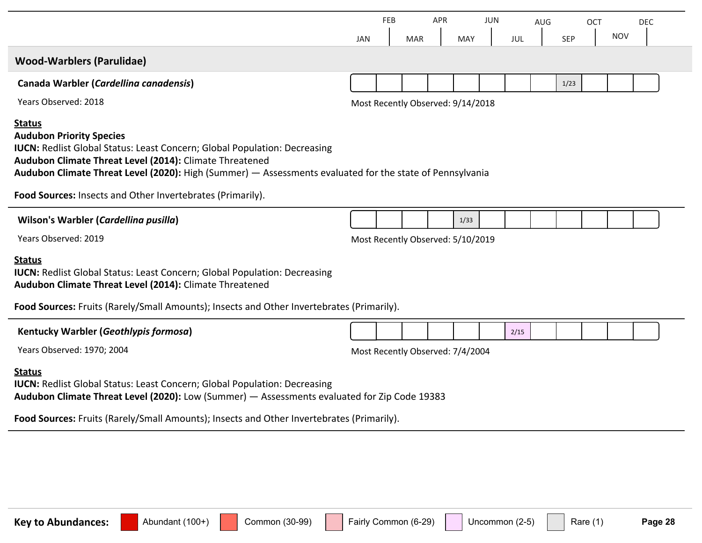|                                                                                                                                                                                                                                                                                                             | JAN | FEB | <b>MAR</b> | <b>APR</b> | <b>MAY</b>                        | JUN | JUL  | AUG | SEP  | <b>OCT</b> | <b>NOV</b> | DEC |  |
|-------------------------------------------------------------------------------------------------------------------------------------------------------------------------------------------------------------------------------------------------------------------------------------------------------------|-----|-----|------------|------------|-----------------------------------|-----|------|-----|------|------------|------------|-----|--|
| <b>Wood-Warblers (Parulidae)</b>                                                                                                                                                                                                                                                                            |     |     |            |            |                                   |     |      |     |      |            |            |     |  |
| Canada Warbler (Cardellina canadensis)                                                                                                                                                                                                                                                                      |     |     |            |            |                                   |     |      |     | 1/23 |            |            |     |  |
| Years Observed: 2018                                                                                                                                                                                                                                                                                        |     |     |            |            | Most Recently Observed: 9/14/2018 |     |      |     |      |            |            |     |  |
| <b>Status</b><br><b>Audubon Priority Species</b><br><b>IUCN: Redlist Global Status: Least Concern; Global Population: Decreasing</b><br>Audubon Climate Threat Level (2014): Climate Threatened<br>Audubon Climate Threat Level (2020): High (Summer) - Assessments evaluated for the state of Pennsylvania |     |     |            |            |                                   |     |      |     |      |            |            |     |  |
| Food Sources: Insects and Other Invertebrates (Primarily).                                                                                                                                                                                                                                                  |     |     |            |            |                                   |     |      |     |      |            |            |     |  |
| Wilson's Warbler (Cardellina pusilla)                                                                                                                                                                                                                                                                       |     |     |            |            | 1/33                              |     |      |     |      |            |            |     |  |
| Years Observed: 2019                                                                                                                                                                                                                                                                                        |     |     |            |            | Most Recently Observed: 5/10/2019 |     |      |     |      |            |            |     |  |
| <b>Status</b><br><b>IUCN:</b> Redlist Global Status: Least Concern; Global Population: Decreasing<br>Audubon Climate Threat Level (2014): Climate Threatened<br>Food Sources: Fruits (Rarely/Small Amounts); Insects and Other Invertebrates (Primarily).                                                   |     |     |            |            |                                   |     |      |     |      |            |            |     |  |
| Kentucky Warbler (Geothlypis formosa)                                                                                                                                                                                                                                                                       |     |     |            |            |                                   |     | 2/15 |     |      |            |            |     |  |
| Years Observed: 1970; 2004                                                                                                                                                                                                                                                                                  |     |     |            |            | Most Recently Observed: 7/4/2004  |     |      |     |      |            |            |     |  |
| <b>Status</b><br><b>IUCN:</b> Redlist Global Status: Least Concern; Global Population: Decreasing<br>Audubon Climate Threat Level (2020): Low (Summer) - Assessments evaluated for Zip Code 19383                                                                                                           |     |     |            |            |                                   |     |      |     |      |            |            |     |  |
| Food Sources: Fruits (Rarely/Small Amounts); Insects and Other Invertebrates (Primarily).                                                                                                                                                                                                                   |     |     |            |            |                                   |     |      |     |      |            |            |     |  |
|                                                                                                                                                                                                                                                                                                             |     |     |            |            |                                   |     |      |     |      |            |            |     |  |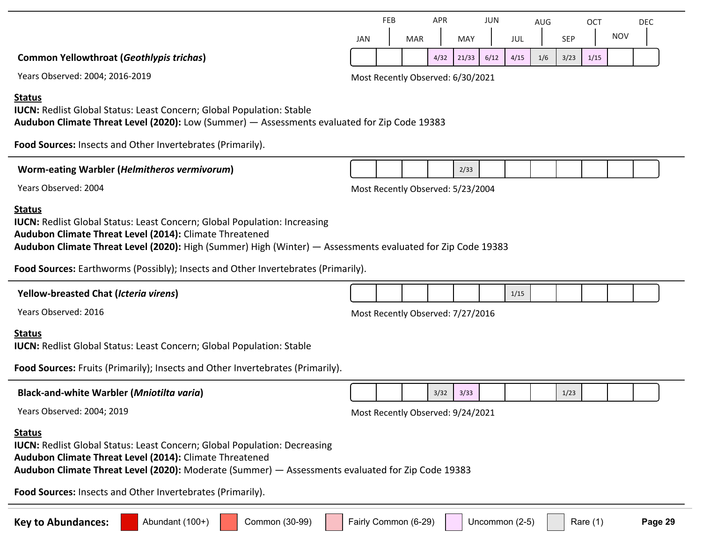|                                                                                                                                                                                                                                                                                                                                                                  |                                   | <b>FEB</b> |                                   | <b>APR</b> |       | JUN  |      | AUG |            | <b>OCT</b> |            | <b>DEC</b> |
|------------------------------------------------------------------------------------------------------------------------------------------------------------------------------------------------------------------------------------------------------------------------------------------------------------------------------------------------------------------|-----------------------------------|------------|-----------------------------------|------------|-------|------|------|-----|------------|------------|------------|------------|
|                                                                                                                                                                                                                                                                                                                                                                  | <b>JAN</b>                        |            | <b>MAR</b>                        |            | MAY   |      | JUL  |     | <b>SEP</b> |            | <b>NOV</b> |            |
| <b>Common Yellowthroat (Geothlypis trichas)</b>                                                                                                                                                                                                                                                                                                                  |                                   |            |                                   | 4/32       | 21/33 | 6/12 | 4/15 | 1/6 | 3/23       | 1/15       |            |            |
| Years Observed: 2004; 2016-2019                                                                                                                                                                                                                                                                                                                                  |                                   |            | Most Recently Observed: 6/30/2021 |            |       |      |      |     |            |            |            |            |
| <b>Status</b><br><b>IUCN:</b> Redlist Global Status: Least Concern; Global Population: Stable<br>Audubon Climate Threat Level (2020): Low (Summer) - Assessments evaluated for Zip Code 19383<br>Food Sources: Insects and Other Invertebrates (Primarily).                                                                                                      |                                   |            |                                   |            |       |      |      |     |            |            |            |            |
| Worm-eating Warbler (Helmitheros vermivorum)                                                                                                                                                                                                                                                                                                                     |                                   |            |                                   |            | 2/33  |      |      |     |            |            |            |            |
| Years Observed: 2004                                                                                                                                                                                                                                                                                                                                             |                                   |            | Most Recently Observed: 5/23/2004 |            |       |      |      |     |            |            |            |            |
| <b>Status</b><br><b>IUCN:</b> Redlist Global Status: Least Concern; Global Population: Increasing<br>Audubon Climate Threat Level (2014): Climate Threatened<br>Audubon Climate Threat Level (2020): High (Summer) High (Winter) - Assessments evaluated for Zip Code 19383<br>Food Sources: Earthworms (Possibly); Insects and Other Invertebrates (Primarily). |                                   |            |                                   |            |       |      |      |     |            |            |            |            |
| <b>Yellow-breasted Chat (Icteria virens)</b>                                                                                                                                                                                                                                                                                                                     |                                   |            |                                   |            |       |      | 1/15 |     |            |            |            |            |
| Years Observed: 2016                                                                                                                                                                                                                                                                                                                                             | Most Recently Observed: 7/27/2016 |            |                                   |            |       |      |      |     |            |            |            |            |
| <b>Status</b><br><b>IUCN:</b> Redlist Global Status: Least Concern; Global Population: Stable<br>Food Sources: Fruits (Primarily); Insects and Other Invertebrates (Primarily).                                                                                                                                                                                  |                                   |            |                                   |            |       |      |      |     |            |            |            |            |
| <b>Black-and-white Warbler (Mniotilta varia)</b>                                                                                                                                                                                                                                                                                                                 |                                   |            |                                   | 3/32       | 3/33  |      |      |     | 1/23       |            |            |            |
| Years Observed: 2004; 2019                                                                                                                                                                                                                                                                                                                                       |                                   |            | Most Recently Observed: 9/24/2021 |            |       |      |      |     |            |            |            |            |
| <b>Status</b><br><b>IUCN:</b> Redlist Global Status: Least Concern; Global Population: Decreasing<br>Audubon Climate Threat Level (2014): Climate Threatened<br>Audubon Climate Threat Level (2020): Moderate (Summer) - Assessments evaluated for Zip Code 19383                                                                                                |                                   |            |                                   |            |       |      |      |     |            |            |            |            |
| Food Sources: Insects and Other Invertebrates (Primarily).                                                                                                                                                                                                                                                                                                       |                                   |            |                                   |            |       |      |      |     |            |            |            |            |
|                                                                                                                                                                                                                                                                                                                                                                  |                                   |            |                                   |            |       |      |      |     |            |            |            |            |

**Key to Abundances:** Abundant (100+) Common (30-99) Fairly Common (6-29) Uncommon (2-5) Rare (1) Page 29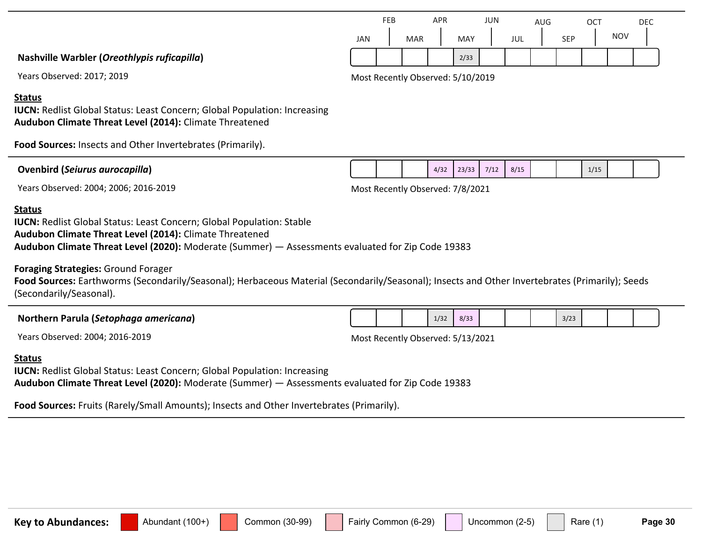|                                             |            | FEB |            | APR |      | JUN |     | AUG |            | ОСТ |            | DEC |  |
|---------------------------------------------|------------|-----|------------|-----|------|-----|-----|-----|------------|-----|------------|-----|--|
|                                             | <b>JAN</b> |     | <b>MAR</b> |     | MAY  |     | JUL |     | <b>SEP</b> |     | <b>NOV</b> |     |  |
| Nashville Warbler (Oreothlypis ruficapilla) |            |     |            |     | 2/33 |     |     |     |            |     |            |     |  |

Years Observed: 2017; 2019 Most Recently Observed: 5/10/2019

#### **Status**

**IUCN:** Redlist Global Status: Least Concern; Global Population: Increasing **Audubon Climate Threat Level (2014):** Climate Threatened

**Food Sources:** Insects and Other Invertebrates (Primarily).

| <b>Ovenbird (Seiurus aurocapilla)</b> |  | 4/32 | 73/33 | 7/12 | 8/15 |  | 1/15 |
|---------------------------------------|--|------|-------|------|------|--|------|
|                                       |  |      |       |      |      |  |      |

Years Observed: 2004; 2006; 2016-2019 Most Recently Observed: 7/8/2021

#### **Status**

**IUCN: Redlist Global Status: Least Concern; Global Population: Stable Audubon Climate Threat Level (2014):** Climate Threatened **Audubon Climate Threat Level (2020):** Moderate (Summer) — Assessments evaluated for Zip Code 19383

**Foraging Strategies:** Ground Forager

**Food Sources:** Earthworms (Secondarily/Seasonal); Herbaceous Material (Secondarily/Seasonal); Insects and Other Invertebrates (Primarily); Seeds (Secondarily/Seasonal).

#### **Northern Parula (***Setophaga americana***)**

Years Observed: 2004; 2016-2019 Most Recently Observed: 5/13/2021

#### **Status**

**IUCN:** Redlist Global Status: Least Concern; Global Population: Increasing **Audubon Climate Threat Level (2020):** Moderate (Summer) — Assessments evaluated for Zip Code 19383

**Food Sources:** Fruits (Rarely/Small Amounts); Insects and Other Invertebrates (Primarily).

 $1/32$  8/33 3/23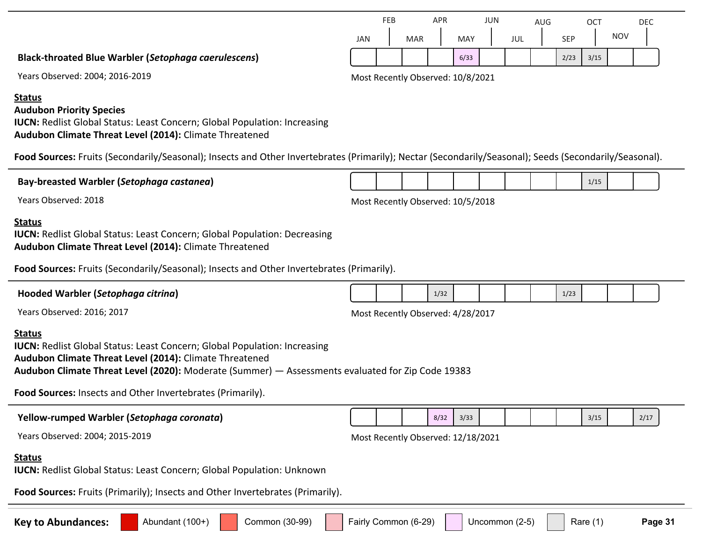JAN FEB MAR APR MAY JUN JUL AUG SEP **OCT Black-throated Blue Warbler (***Setophaga caerulescens***)**

|     | <b>FEB</b> |            | <b>APR</b> |            | <b>JUN</b> |     | <b>AUG</b> |            | ОСТ  |            | DEC |
|-----|------------|------------|------------|------------|------------|-----|------------|------------|------|------------|-----|
| JAN |            | <b>MAR</b> |            | <b>MAY</b> |            | JUL |            | <b>SEP</b> |      | <b>NOV</b> |     |
|     |            |            |            | 6/33       |            |     |            | 2/23       | 3/15 |            |     |

Years Observed: 2004; 2016-2019 Most Recently Observed: 10/8/2021

### **Status**

### **Audubon Priority Species**

**IUCN: Redlist Global Status: Least Concern; Global Population: Increasing Audubon Climate Threat Level (2014):** Climate Threatened

Food Sources: Fruits (Secondarily/Seasonal); Insects and Other Invertebrates (Primarily); Nectar (Secondarily/Seasonal); Seeds (Secondarily/Seasonal).

| Bay-breasted Warbler (Setophaga castanea)                                                                                                                                                                                                                                                                                       |                                   |  |                                    |      |      |  |                |  |      | 1/15       |  |         |  |
|---------------------------------------------------------------------------------------------------------------------------------------------------------------------------------------------------------------------------------------------------------------------------------------------------------------------------------|-----------------------------------|--|------------------------------------|------|------|--|----------------|--|------|------------|--|---------|--|
| Years Observed: 2018                                                                                                                                                                                                                                                                                                            | Most Recently Observed: 10/5/2018 |  |                                    |      |      |  |                |  |      |            |  |         |  |
| <b>Status</b><br><b>IUCN: Redlist Global Status: Least Concern; Global Population: Decreasing</b><br>Audubon Climate Threat Level (2014): Climate Threatened                                                                                                                                                                    |                                   |  |                                    |      |      |  |                |  |      |            |  |         |  |
| Food Sources: Fruits (Secondarily/Seasonal); Insects and Other Invertebrates (Primarily).                                                                                                                                                                                                                                       |                                   |  |                                    |      |      |  |                |  |      |            |  |         |  |
| Hooded Warbler (Setophaga citrina)                                                                                                                                                                                                                                                                                              |                                   |  |                                    | 1/32 |      |  |                |  | 1/23 |            |  |         |  |
| Years Observed: 2016; 2017                                                                                                                                                                                                                                                                                                      | Most Recently Observed: 4/28/2017 |  |                                    |      |      |  |                |  |      |            |  |         |  |
| <b>Status</b><br><b>IUCN:</b> Redlist Global Status: Least Concern; Global Population: Increasing<br>Audubon Climate Threat Level (2014): Climate Threatened<br>Audubon Climate Threat Level (2020): Moderate (Summer) - Assessments evaluated for Zip Code 19383<br>Food Sources: Insects and Other Invertebrates (Primarily). |                                   |  |                                    |      |      |  |                |  |      |            |  |         |  |
| Yellow-rumped Warbler (Setophaga coronata)                                                                                                                                                                                                                                                                                      |                                   |  |                                    | 8/32 | 3/33 |  |                |  |      | 3/15       |  | 2/17    |  |
| Years Observed: 2004; 2015-2019                                                                                                                                                                                                                                                                                                 |                                   |  | Most Recently Observed: 12/18/2021 |      |      |  |                |  |      |            |  |         |  |
| <b>Status</b><br><b>IUCN: Redlist Global Status: Least Concern; Global Population: Unknown</b><br>Food Sources: Fruits (Primarily); Insects and Other Invertebrates (Primarily).                                                                                                                                                |                                   |  |                                    |      |      |  |                |  |      |            |  |         |  |
| Common (30-99)<br><b>Key to Abundances:</b><br>Abundant (100+)                                                                                                                                                                                                                                                                  | Fairly Common (6-29)              |  |                                    |      |      |  | Uncommon (2-5) |  |      | Rare $(1)$ |  | Page 31 |  |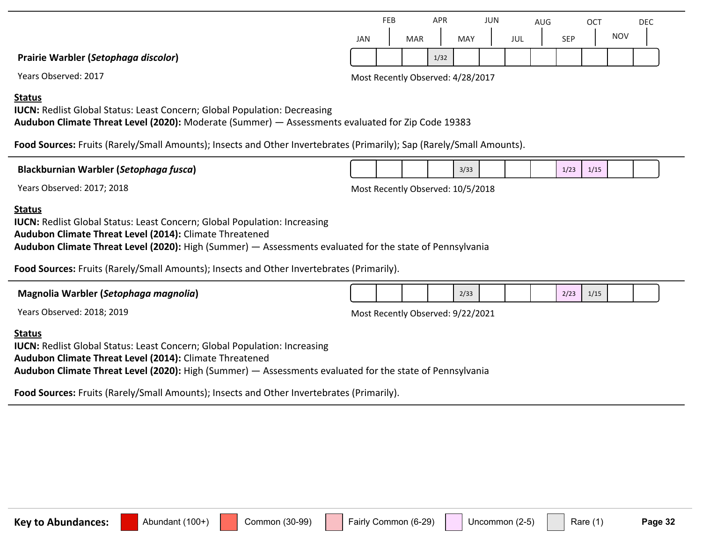|                                      |            | FEB |            | APR  |     | JUN |     | AUG |            | OCT |            | DEC |  |
|--------------------------------------|------------|-----|------------|------|-----|-----|-----|-----|------------|-----|------------|-----|--|
|                                      | <b>JAN</b> |     | <b>MAR</b> |      | MAY |     | JUL |     | <b>SEP</b> |     | <b>NOV</b> |     |  |
| Prairie Warbler (Setophaga discolor) |            |     |            | 1/32 |     |     |     |     |            |     |            |     |  |

Years Observed: 2017 Most Recently Observed: 4/28/2017

#### **Status**

**IUCN:** Redlist Global Status: Least Concern; Global Population: Decreasing

**Audubon Climate Threat Level (2020):** Moderate (Summer) — Assessments evaluated for Zip Code 19383

**Food Sources:** Fruits (Rarely/Small Amounts); Insects and Other Invertebrates (Primarily); Sap (Rarely/Small Amounts).

| <b>Blac</b><br>tusca<br>. War<br>arbier<br>setopnaar s<br>illd I |  |  | 2122<br>3/33 |  | - | 11 <sup>t</sup> |  |  |
|------------------------------------------------------------------|--|--|--------------|--|---|-----------------|--|--|
|                                                                  |  |  |              |  |   |                 |  |  |

Years Observed: 2017; 2018 2018 and the Second Most Recently Observed: 10/5/2018

#### **Status**

**IUCN:** Redlist Global Status: Least Concern; Global Population: Increasing **Audubon Climate Threat Level (2014):** Climate Threatened **Audubon Climate Threat Level (2020):** High (Summer) — Assessments evaluated for the state of Pennsylvania

**Food Sources:** Fruits (Rarely/Small Amounts); Insects and Other Invertebrates (Primarily).

| Magnolia Warbler (Setophaga magnolia) |                                   |  |  |  | 2/33 |  |  |  | 2/23 | 1/15 |  |  |  |  |
|---------------------------------------|-----------------------------------|--|--|--|------|--|--|--|------|------|--|--|--|--|
| Years Observed: 2018; 2019            | Most Recently Observed: 9/22/2021 |  |  |  |      |  |  |  |      |      |  |  |  |  |
| <b>Status</b>                         |                                   |  |  |  |      |  |  |  |      |      |  |  |  |  |

**IUCN:** Redlist Global Status: Least Concern; Global Population: Increasing **Audubon Climate Threat Level (2014):** Climate Threatened **Audubon Climate Threat Level (2020):** High (Summer) — Assessments evaluated for the state of Pennsylvania

**Food Sources:** Fruits (Rarely/Small Amounts); Insects and Other Invertebrates (Primarily).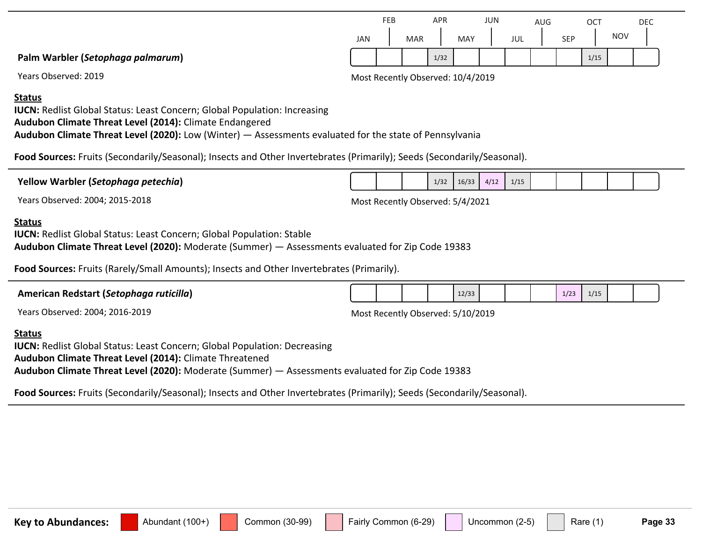|                                   |     | FEB |            | <b>APR</b> |     | JUN |             | AUG |                  | <b>OCT</b> |            | <b>DEC</b> |
|-----------------------------------|-----|-----|------------|------------|-----|-----|-------------|-----|------------------|------------|------------|------------|
|                                   | JAN |     | <b>MAR</b> |            | MAY |     | JUL<br>$ -$ |     | <b>SEP</b><br>ᇰᄂ |            | <b>NOV</b> |            |
| Palm Warbler (Setophaga palmarum) |     |     |            | 1/32       |     |     |             |     |                  | 1/15       |            |            |

Years Observed: 2019 Most Recently Observed: 10/4/2019

**Status**

**IUCN:** Redlist Global Status: Least Concern; Global Population: Increasing **Audubon Climate Threat Level (2014):** Climate Endangered **Audubon Climate Threat Level (2020):** Low (Winter) — Assessments evaluated for the state of Pennsylvania

**Food Sources:** Fruits (Secondarily/Seasonal); Insects and Other Invertebrates (Primarily); Seeds (Secondarily/Seasonal).

**Yellow Warbler (***Setophaga petechia***)**

Years Observed: 2004; 2015-2018 Most Recently Observed: 5/4/2021

 $1/32$   $16/33$   $4/12$   $1/15$ 

#### **Status**

**IUCN:** Redlist Global Status: Least Concern; Global Population: Stable

**Audubon Climate Threat Level (2020):** Moderate (Summer) — Assessments evaluated for Zip Code 19383

**Food Sources:** Fruits (Rarely/Small Amounts); Insects and Other Invertebrates (Primarily).

| American Redstart (Setophaga ruticilla) |                                   |  |  |  | 12/33 |  |  | 1/23 | 1/15 |  |  |  |  |
|-----------------------------------------|-----------------------------------|--|--|--|-------|--|--|------|------|--|--|--|--|
| Years Observed: 2004; 2016-2019         | Most Recently Observed: 5/10/2019 |  |  |  |       |  |  |      |      |  |  |  |  |
| Status                                  |                                   |  |  |  |       |  |  |      |      |  |  |  |  |

**Status**

**IUCN: Redlist Global Status: Least Concern; Global Population: Decreasing Audubon Climate Threat Level (2014):** Climate Threatened **Audubon Climate Threat Level (2020):** Moderate (Summer) — Assessments evaluated for Zip Code 19383

**Food Sources:** Fruits (Secondarily/Seasonal); Insects and Other Invertebrates (Primarily); Seeds (Secondarily/Seasonal).

Key to Abundances: **Abundant (100+)** Common (30-99) Fairly Common (6-29) Uncommon (2-5) Rare (1) Page 33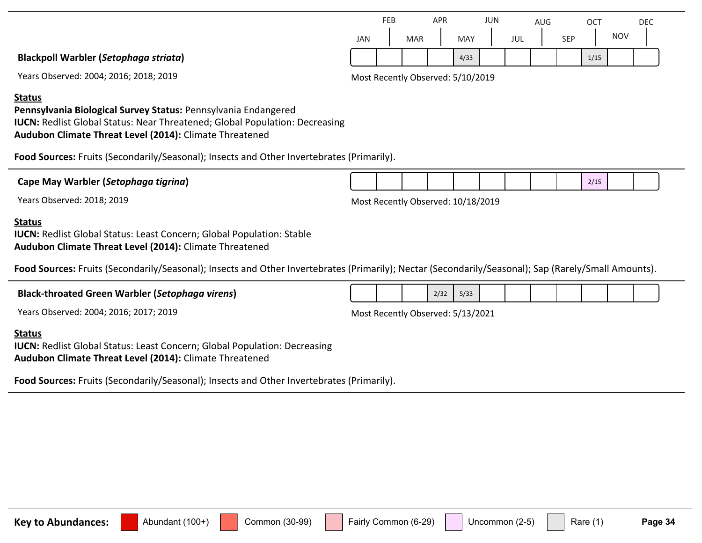|                |     | FEB |            | APR |      | JUN |     | AUG |            | <b>OCT</b> |            | <b>DEC</b> |  |
|----------------|-----|-----|------------|-----|------|-----|-----|-----|------------|------------|------------|------------|--|
|                | JAN |     | <b>MAR</b> |     | MAY  |     | JUL |     | <b>SEP</b> |            | <b>NOV</b> |            |  |
| phaga striata) |     |     |            |     | 4/33 |     |     |     |            | 1/15       |            |            |  |

**Blackpoll Warbler (***Setop* 

Years Observed: 2004; 2016; 2018; 2019 Most Recently Observed: 5/10/2019

#### **Status**

**Pennsylvania Biological Survey Status:** Pennsylvania Endangered **IUCN:** Redlist Global Status: Near Threatened; Global Population: Decreasing **Audubon Climate Threat Level (2014):** Climate Threatened

**Food Sources:** Fruits (Secondarily/Seasonal); Insects and Other Invertebrates (Primarily).

**Cape May Warbler (***Setophaga tigrina***)**

Years Observed: 2018; 2019 Most Recently Observed: 10/18/2019

#### **Status**

**IUCN:** Redlist Global Status: Least Concern; Global Population: Stable **Audubon Climate Threat Level (2014):** Climate Threatened

Food Sources: Fruits (Secondarily/Seasonal); Insects and Other Invertebrates (Primarily); Nectar (Secondarily/Seasonal); Sap (Rarely/Small Amounts).

#### **Black-throated Green Warbler (***Setophaga virens***)**

Years Observed: 2004; 2016; 2017; 2019 Most Recently Observed: 5/13/2021

 $2/32$  5/33

#### **Status**

**IUCN: Redlist Global Status: Least Concern; Global Population: Decreasing Audubon Climate Threat Level (2014):** Climate Threatened

**Food Sources:** Fruits (Secondarily/Seasonal); Insects and Other Invertebrates (Primarily).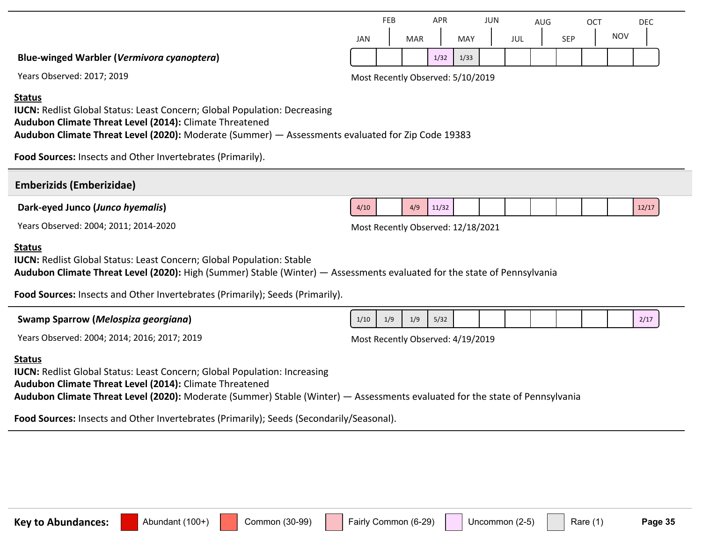|                                                   |            | FEB |            | APR  |      | JUN |     | AUG |            | OCT |            | DEC |
|---------------------------------------------------|------------|-----|------------|------|------|-----|-----|-----|------------|-----|------------|-----|
|                                                   | <b>JAN</b> |     | <b>MAR</b> |      | MAY  |     | JUL |     | <b>SEP</b> |     | <b>NOV</b> |     |
| <b>Blue-winged Warbler (Vermivora cyanoptera)</b> |            |     |            | 1/32 | 1/33 |     |     |     |            |     |            |     |

Years Observed: 2017; 2019 and the control of the Most Recently Observed: 5/10/2019

#### **Status**

**IUCN:** Redlist Global Status: Least Concern; Global Population: Decreasing **Audubon Climate Threat Level (2014):** Climate Threatened **Audubon Climate Threat Level (2020):** Moderate (Summer) — Assessments evaluated for Zip Code 19383

**Food Sources:** Insects and Other Invertebrates (Primarily).

| <b>Emberizids (Emberizidae)</b>                                                                                                                                                                                                                                                                            |                                    |     |     |       |  |  |  |       |
|------------------------------------------------------------------------------------------------------------------------------------------------------------------------------------------------------------------------------------------------------------------------------------------------------------|------------------------------------|-----|-----|-------|--|--|--|-------|
| Dark-eyed Junco (Junco hyemalis)                                                                                                                                                                                                                                                                           | 4/10                               |     | 4/9 | 11/32 |  |  |  | 12/17 |
| Years Observed: 2004; 2011; 2014-2020                                                                                                                                                                                                                                                                      | Most Recently Observed: 12/18/2021 |     |     |       |  |  |  |       |
| <b>Status</b><br><b>IUCN:</b> Redlist Global Status: Least Concern; Global Population: Stable<br>Audubon Climate Threat Level (2020): High (Summer) Stable (Winter) - Assessments evaluated for the state of Pennsylvania<br>Food Sources: Insects and Other Invertebrates (Primarily); Seeds (Primarily). |                                    |     |     |       |  |  |  |       |
| Swamp Sparrow (Melospiza georgiana)                                                                                                                                                                                                                                                                        | 1/10                               | 1/9 | 1/9 | 5/32  |  |  |  | 2/17  |
| Years Observed: 2004; 2014; 2016; 2017; 2019                                                                                                                                                                                                                                                               | Most Recently Observed: 4/19/2019  |     |     |       |  |  |  |       |
| <b>Status</b><br><b>IUCN:</b> Redlist Global Status: Least Concern; Global Population: Increasing<br>Audubon Climate Threat Level (2014): Climate Threatened<br>Audubon Climate Threat Level (2020): Moderate (Summer) Stable (Winter) — Assessments evaluated for the state of Pennsylvania               |                                    |     |     |       |  |  |  |       |

**Food Sources:** Insects and Other Invertebrates (Primarily); Seeds (Secondarily/Seasonal).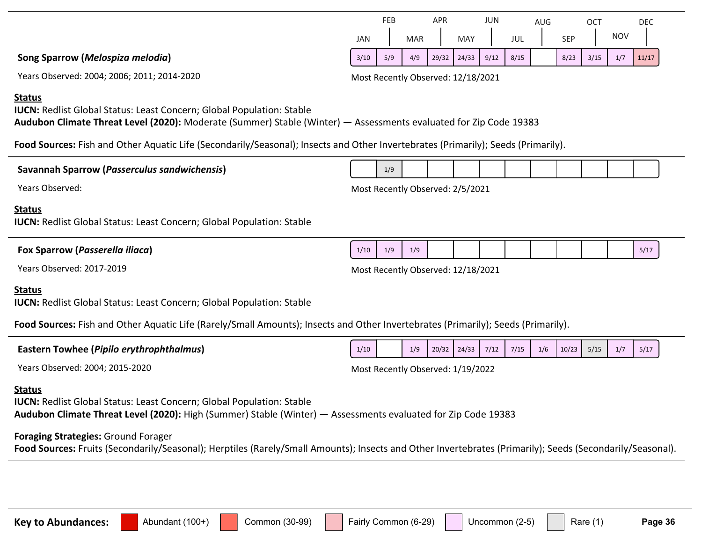| Years Observed: 2004; 2006; 2011; 2014-2020                                                                                                                                                                        | Most Recently Observed: 12/18/2021                                                                                                                        |
|--------------------------------------------------------------------------------------------------------------------------------------------------------------------------------------------------------------------|-----------------------------------------------------------------------------------------------------------------------------------------------------------|
| <b>Status</b><br><b>IUCN: Redlist Global Status: Least Concern; Global Population: Stable</b><br>Audubon Climate Threat Level (2020): Moderate (Summer) Stable (Winter) - Assessments evaluated for Zip Code 19383 |                                                                                                                                                           |
| Food Sources: Fish and Other Aquatic Life (Secondarily/Seasonal); Insects and Other Invertebrates (Primarily); Seeds (Primarily).                                                                                  |                                                                                                                                                           |
| Savannah Sparrow (Passerculus sandwichensis)                                                                                                                                                                       | 1/9                                                                                                                                                       |
| Years Observed:                                                                                                                                                                                                    | Most Recently Observed: 2/5/2021                                                                                                                          |
| <b>Status</b><br><b>IUCN:</b> Redlist Global Status: Least Concern; Global Population: Stable                                                                                                                      |                                                                                                                                                           |
| Fox Sparrow (Passerella iliaca)                                                                                                                                                                                    | 1/9<br>1/9<br>1/10<br>5/17                                                                                                                                |
| Years Observed: 2017-2019                                                                                                                                                                                          | Most Recently Observed: 12/18/2021                                                                                                                        |
| <b>Status</b><br><b>IUCN: Redlist Global Status: Least Concern; Global Population: Stable</b>                                                                                                                      |                                                                                                                                                           |
| Food Sources: Fish and Other Aquatic Life (Rarely/Small Amounts); Insects and Other Invertebrates (Primarily); Seeds (Primarily).                                                                                  |                                                                                                                                                           |
| <b>Eastern Towhee (Pipilo erythrophthalmus)</b>                                                                                                                                                                    | 1/7<br>20/32<br>24/33<br>7/12<br>7/15<br>1/6<br>10/23<br>5/15<br>5/17<br>1/10<br>1/9                                                                      |
| Years Observed: 2004; 2015-2020                                                                                                                                                                                    | Most Recently Observed: 1/19/2022                                                                                                                         |
| <b>Status</b><br><b>IUCN: Redlist Global Status: Least Concern; Global Population: Stable</b><br>Audubon Climate Threat Level (2020): High (Summer) Stable (Winter) - Assessments evaluated for Zip Code 19383     |                                                                                                                                                           |
| Foraging Strategies: Ground Forager                                                                                                                                                                                | Food Sources: Fruits (Secondarily/Seasonal); Herptiles (Rarely/Small Amounts); Insects and Other Invertebrates (Primarily); Seeds (Secondarily/Seasonal). |

JAN

FEB

MAR

APR

MAY

JUN

JUL

3/105 5/94 4/94 29/323 24/334 9/124 8/154 8/232 3/153 1/75 11/179

AUG

SEP

OCT

NOV

DEC

**Song Sparrow (***Melospiza melodia***)**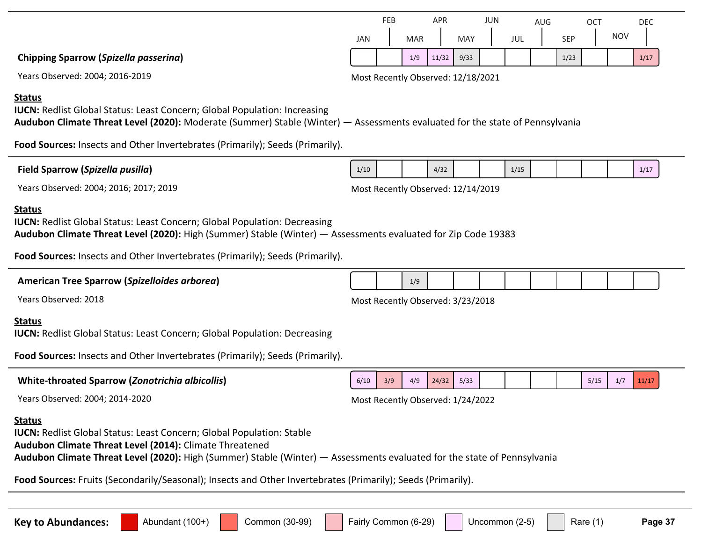| <b>Status</b><br><b>IUCN: Redlist Global Status: Least Concern; Global Population: Decreasing</b><br>Audubon Climate Threat Level (2020): High (Summer) Stable (Winter) - Assessments evaluated for Zip Code 19383                                                                   |                                                                 |
|--------------------------------------------------------------------------------------------------------------------------------------------------------------------------------------------------------------------------------------------------------------------------------------|-----------------------------------------------------------------|
| Food Sources: Insects and Other Invertebrates (Primarily); Seeds (Primarily).                                                                                                                                                                                                        |                                                                 |
| <b>American Tree Sparrow (Spizelloides arborea)</b>                                                                                                                                                                                                                                  | 1/9                                                             |
| Years Observed: 2018                                                                                                                                                                                                                                                                 | Most Recently Observed: 3/23/2018                               |
| <b>Status</b><br><b>IUCN: Redlist Global Status: Least Concern; Global Population: Decreasing</b>                                                                                                                                                                                    |                                                                 |
| Food Sources: Insects and Other Invertebrates (Primarily); Seeds (Primarily).                                                                                                                                                                                                        |                                                                 |
| <b>White-throated Sparrow (Zonotrichia albicollis)</b>                                                                                                                                                                                                                               | 24/32<br>5/33<br>4/9<br>5/15<br>11/17<br>6/10<br>3/9<br>1/7     |
| Years Observed: 2004; 2014-2020                                                                                                                                                                                                                                                      | Most Recently Observed: 1/24/2022                               |
| <b>Status</b><br><b>IUCN:</b> Redlist Global Status: Least Concern; Global Population: Stable<br>Audubon Climate Threat Level (2014): Climate Threatened<br>Audubon Climate Threat Level (2020): High (Summer) Stable (Winter) - Assessments evaluated for the state of Pennsylvania |                                                                 |
| Food Sources: Fruits (Secondarily/Seasonal); Insects and Other Invertebrates (Primarily); Seeds (Primarily).                                                                                                                                                                         |                                                                 |
|                                                                                                                                                                                                                                                                                      |                                                                 |
| Common (30-99)<br><b>Key to Abundances:</b><br>Abundant (100+)                                                                                                                                                                                                                       | Fairly Common (6-29)<br>Uncommon (2-5)<br>Page 37<br>Rare $(1)$ |

### **Status**

**Chipping Sparrow (***Spizella passerina***)**

**IUCN:** Redlist Global Status: Least Concern; Global Population: Increasing **Audubon Climate Threat Level (2020):** Moderate (Summer) Stable (Winter) — Assessments evaluated for the state of Pennsylvania

**Food Sources:** Insects and Other Invertebrates (Primarily); Seeds (Primarily).

### **Field Sparrow (***Spizella pusilla***)**

Years Observed: 2004; 2016; 2017; 2019 Most Recently Observed: 12/14/2019

# Years Observed: 2004; 2016-2019 Most Recently Observed: 12/18/2021

|     | FEB |            | <b>APR</b> |            | JUN |     | AUG |            | OC. |            | DEC. |
|-----|-----|------------|------------|------------|-----|-----|-----|------------|-----|------------|------|
| JAN |     | <b>MAR</b> |            | <b>MAY</b> |     | JUL |     | <b>SEP</b> |     | <b>NOV</b> |      |
|     |     | 1/9        | 11/32      | 9/33       |     |     |     | 1/23       |     |            | 1/17 |

1/10 4/32 1/15 1/15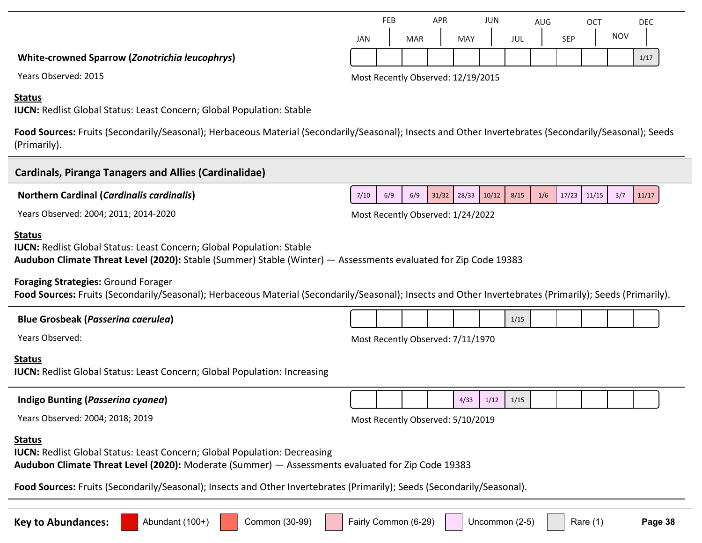# **White-crowned Sparrow (***Zonotrichia leucophrys***)**

Years Observed: 2015 2015 2015 2016 2017 2018 2019 2015

#### **Status**

**IUCN:** Redlist Global Status: Least Concern; Global Population: Stable

Food Sources: Fruits (Secondarily/Seasonal); Herbaceous Material (Secondarily/Seasonal); Insects and Other Invertebrates (Secondarily/Seasonal); Seeds (Primarily).

| <b>Cardinals, Piranga Tanagers and Allies (Cardinalidae)</b>                                                                                                                                                                                                                                                                      |                      |     |     |                                   |               |       |                |     |       |            |     |         |
|-----------------------------------------------------------------------------------------------------------------------------------------------------------------------------------------------------------------------------------------------------------------------------------------------------------------------------------|----------------------|-----|-----|-----------------------------------|---------------|-------|----------------|-----|-------|------------|-----|---------|
| <b>Northern Cardinal (Cardinalis cardinalis)</b>                                                                                                                                                                                                                                                                                  | 7/10                 | 6/9 | 6/9 |                                   | $31/32$ 28/33 | 10/12 | 8/15           | 1/6 | 17/23 | 11/15      | 3/7 | 11/17   |
| Years Observed: 2004; 2011; 2014-2020                                                                                                                                                                                                                                                                                             |                      |     |     | Most Recently Observed: 1/24/2022 |               |       |                |     |       |            |     |         |
| <b>Status</b><br><b>IUCN: Redlist Global Status: Least Concern; Global Population: Stable</b><br>Audubon Climate Threat Level (2020): Stable (Summer) Stable (Winter) - Assessments evaluated for Zip Code 19383                                                                                                                  |                      |     |     |                                   |               |       |                |     |       |            |     |         |
| <b>Foraging Strategies: Ground Forager</b><br>Food Sources: Fruits (Secondarily/Seasonal); Herbaceous Material (Secondarily/Seasonal); Insects and Other Invertebrates (Primarily); Seeds (Primarily).                                                                                                                            |                      |     |     |                                   |               |       |                |     |       |            |     |         |
| <b>Blue Grosbeak (Passerina caerulea)</b>                                                                                                                                                                                                                                                                                         |                      |     |     |                                   |               |       | 1/15           |     |       |            |     |         |
| Years Observed:                                                                                                                                                                                                                                                                                                                   |                      |     |     | Most Recently Observed: 7/11/1970 |               |       |                |     |       |            |     |         |
| <b>Status</b><br><b>IUCN:</b> Redlist Global Status: Least Concern; Global Population: Increasing                                                                                                                                                                                                                                 |                      |     |     |                                   |               |       |                |     |       |            |     |         |
| Indigo Bunting (Passerina cyanea)                                                                                                                                                                                                                                                                                                 |                      |     |     |                                   | 4/33          | 1/12  | 1/15           |     |       |            |     |         |
| Years Observed: 2004; 2018; 2019                                                                                                                                                                                                                                                                                                  |                      |     |     | Most Recently Observed: 5/10/2019 |               |       |                |     |       |            |     |         |
| <b>Status</b><br><b>IUCN: Redlist Global Status: Least Concern; Global Population: Decreasing</b><br>Audubon Climate Threat Level (2020): Moderate (Summer) - Assessments evaluated for Zip Code 19383<br>Food Sources: Fruits (Secondarily/Seasonal); Insects and Other Invertebrates (Primarily); Seeds (Secondarily/Seasonal). |                      |     |     |                                   |               |       |                |     |       |            |     |         |
| Abundant (100+)<br>Common (30-99)<br><b>Key to Abundances:</b>                                                                                                                                                                                                                                                                    | Fairly Common (6-29) |     |     |                                   |               |       | Uncommon (2-5) |     |       | Rare $(1)$ |     | Page 38 |

|     | <b>FEB</b> |            | <b>APR</b> |            | <b>JUN</b> |     | AUG |            | ОСТ |            | <b>DEC</b> |
|-----|------------|------------|------------|------------|------------|-----|-----|------------|-----|------------|------------|
| JAN |            | <b>MAR</b> |            | <b>MAY</b> |            | JUL |     | <b>SEP</b> |     | <b>NOV</b> |            |
|     |            |            |            |            |            |     |     |            |     |            | 1/17       |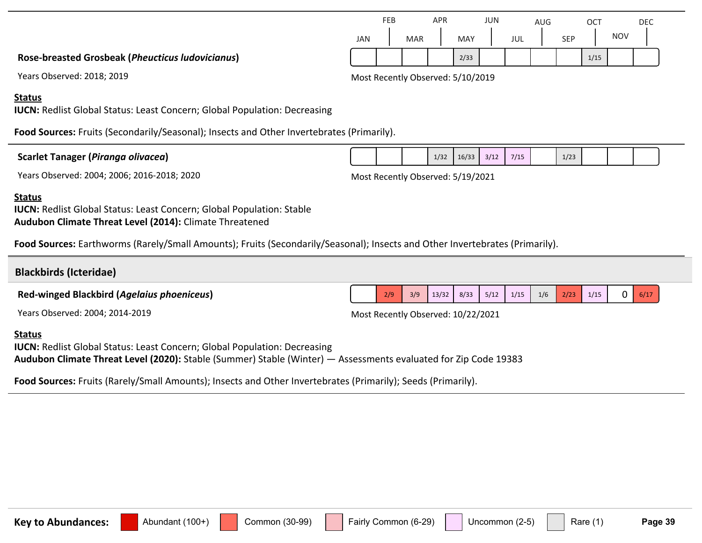| Years Observed: 2018; 2019                                                                                                                               |  |      | Most Recently Observed: 5/10/2019 |      |      |      |  |  |
|----------------------------------------------------------------------------------------------------------------------------------------------------------|--|------|-----------------------------------|------|------|------|--|--|
| <b>Status</b><br><b>IUCN:</b> Redlist Global Status: Least Concern; Global Population: Decreasing                                                        |  |      |                                   |      |      |      |  |  |
| Food Sources: Fruits (Secondarily/Seasonal); Insects and Other Invertebrates (Primarily).                                                                |  |      |                                   |      |      |      |  |  |
| Scarlet Tanager (Piranga olivacea)                                                                                                                       |  | 1/32 | 16/33                             | 3/12 | 7/15 | 1/23 |  |  |
| Years Observed: 2004; 2006; 2016-2018; 2020                                                                                                              |  |      | Most Recently Observed: 5/19/2021 |      |      |      |  |  |
| <b>Status</b><br><b>IUCN: Redlist Global Status: Least Concern; Global Population: Stable</b><br>Audubon Climate Threat Level (2014): Climate Threatened |  |      |                                   |      |      |      |  |  |

**Food Sources:** Earthworms (Rarely/Small Amounts); Fruits (Secondarily/Seasonal); Insects and Other Invertebrates (Primarily).

## **Blackbirds (Icteridae)**

**Red-winged Blackbird (***Agelaius phoeniceus***)**

Years Observed: 2004; 2014-2019 Most Recently Observed: 10/22/2021

### **Status**

**IUCN:** Redlist Global Status: Least Concern; Global Population: Decreasing **Audubon Climate Threat Level (2020):** Stable (Summer) Stable (Winter) — Assessments evaluated for Zip Code 19383

**Food Sources:** Fruits (Rarely/Small Amounts); Insects and Other Invertebrates (Primarily); Seeds (Primarily).

| <b>Key to Abundances:</b> | Abundant<br>. |  | $(30-99)$<br>tommon i |  | -29)<br>airlv<br>'-Ommon (6- |  | $\sqrt{2}$<br>Uncommon |  | $\overline{A}$<br>Rare | Page 39 |
|---------------------------|---------------|--|-----------------------|--|------------------------------|--|------------------------|--|------------------------|---------|
|---------------------------|---------------|--|-----------------------|--|------------------------------|--|------------------------|--|------------------------|---------|

 $2/9$  3/9 13/32 8/33 5/12 1/15 1/6 2/23 1/15 0 6/17

#### JAN FEB MAR APR MAY JUN JUL AUG SEP **OCT NOV** DEC 2/33 1/15

**Rose-breasted Grosbeak (***Pheucticus ludovicianus***)**

#### **Status**

### $Scarl$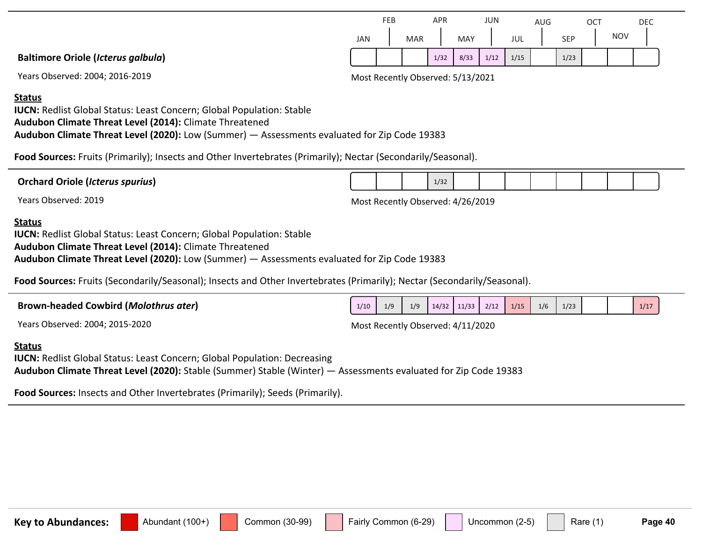|                                           |     | FEB |            | APR  |      | <b>JUN</b> |      | AUG |            | <b>OCT</b> |            | DEC |
|-------------------------------------------|-----|-----|------------|------|------|------------|------|-----|------------|------------|------------|-----|
|                                           | JAN |     | <b>MAR</b> |      | MAY  |            | JUL  |     | <b>SEP</b> |            | <b>NOV</b> |     |
| <b>Baltimore Oriole (Icterus galbula)</b> |     |     |            | 1/32 | 8/33 | 1/12       | 1/15 |     | 1/23       |            |            |     |

Years Observed: 2004; 2016-2019 Most Recently Observed: 5/13/2021

**Status**

**IUCN: Redlist Global Status: Least Concern; Global Population: Stable Audubon Climate Threat Level (2014):** Climate Threatened **Audubon Climate Threat Level (2020):** Low (Summer) — Assessments evaluated for Zip Code 19383

**Food Sources:** Fruits (Primarily); Insects and Other Invertebrates (Primarily); Nectar (Secondarily/Seasonal).

| <b>Orchard Oriole (Icterus spurius)</b> |                                   |  | 1/32 |  |  |  |  |
|-----------------------------------------|-----------------------------------|--|------|--|--|--|--|
| Years Observed: 2019                    | Most Recently Observed: 4/26/2019 |  |      |  |  |  |  |

#### **Status**

**IUCN:** Redlist Global Status: Least Concern; Global Population: Stable **Audubon Climate Threat Level (2014):** Climate Threatened **Audubon Climate Threat Level (2020):** Low (Summer) — Assessments evaluated for Zip Code 19383

**Food Sources:** Fruits (Secondarily/Seasonal); Insects and Other Invertebrates (Primarily); Nectar (Secondarily/Seasonal).

| <b>Brown-headed Cowbird (Molothrus ater)</b> | 1/10                              | 1/9 |  |  | $1/9$ $14/32$ $11/33$ $2/12$ $1/15$ | 1/6 | 1/23 |  | 1/17 |
|----------------------------------------------|-----------------------------------|-----|--|--|-------------------------------------|-----|------|--|------|
| Years Observed: 2004; 2015-2020              | Most Recently Observed: 4/11/2020 |     |  |  |                                     |     |      |  |      |

#### **Status**

**IUCN: Redlist Global Status: Least Concern; Global Population: Decreasing Audubon Climate Threat Level (2020):** Stable (Summer) Stable (Winter) — Assessments evaluated for Zip Code 19383

**Food Sources:** Insects and Other Invertebrates (Primarily); Seeds (Primarily).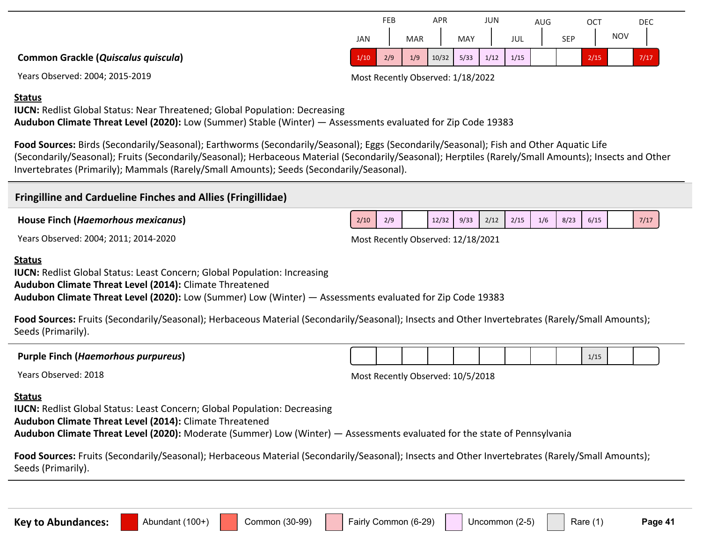**Common Grackle (***Quiscalus quiscula***)**

Years Observed: 2004; 2015-2019 Most Recently Observed: 1/18/2022

#### **Status**

**IUCN:** Redlist Global Status: Near Threatened; Global Population: Decreasing **Audubon Climate Threat Level (2020):** Low (Summer) Stable (Winter) — Assessments evaluated for Zip Code 19383

**Food Sources:** Birds (Secondarily/Seasonal); Earthworms (Secondarily/Seasonal); Eggs (Secondarily/Seasonal); Fish and Other Aquatic Life (Secondarily/Seasonal); Fruits (Secondarily/Seasonal); Herbaceous Material (Secondarily/Seasonal); Herptiles (Rarely/Small Amounts); Insects and Other Invertebrates (Primarily); Mammals (Rarely/Small Amounts); Seeds (Secondarily/Seasonal).

### **Fringilline and Cardueline Finches and Allies (Fringillidae)**

**House Finch (***Haemorhous mexicanus***)**

#### **Status**

**IUCN:** Redlist Global Status: Least Concern; Global Population: Increasing

**Audubon Climate Threat Level (2014):** Climate Threatened

**Audubon Climate Threat Level (2020):** Low (Summer) Low (Winter) — Assessments evaluated for Zip Code 19383

**Food Sources:** Fruits (Secondarily/Seasonal); Herbaceous Material (Secondarily/Seasonal); Insects and Other Invertebrates (Rarely/Small Amounts); Seeds (Primarily).

**Purple Finch (***Haemorhous purpureus***)**

Years Observed: 2018 2018 2018 2018 2018 2018 2019 2018 2019 2018 2019 2018 2019 2018

#### **Status**

**IUCN:** Redlist Global Status: Least Concern; Global Population: Decreasing

**Audubon Climate Threat Level (2014):** Climate Threatened

**Audubon Climate Threat Level (2020):** Moderate (Summer) Low (Winter) — Assessments evaluated for the state of Pennsylvania

**Food Sources:** Fruits (Secondarily/Seasonal); Herbaceous Material (Secondarily/Seasonal); Insects and Other Invertebrates (Rarely/Small Amounts); Seeds (Primarily).

Key to Abundances: **Alterator:** Abundant (100+) Common (30-99) Fairly Common (6-29) Uncommon (2-5) Rare (1) Page 41

1/151

|      | FEB |            | <b>APR</b> |            | JUN  |      | AUG |            | ОСТ  |            | <b>DEC</b> |
|------|-----|------------|------------|------------|------|------|-----|------------|------|------------|------------|
| JAN  |     | <b>MAR</b> |            | <b>MAY</b> |      | JUL  |     | <b>SEP</b> |      | <b>NOV</b> |            |
| 1/10 | 2/9 | 1/9        | 10/32      | 5/33       | 1/12 | 1/15 |     |            | 2/15 |            | 7/17       |

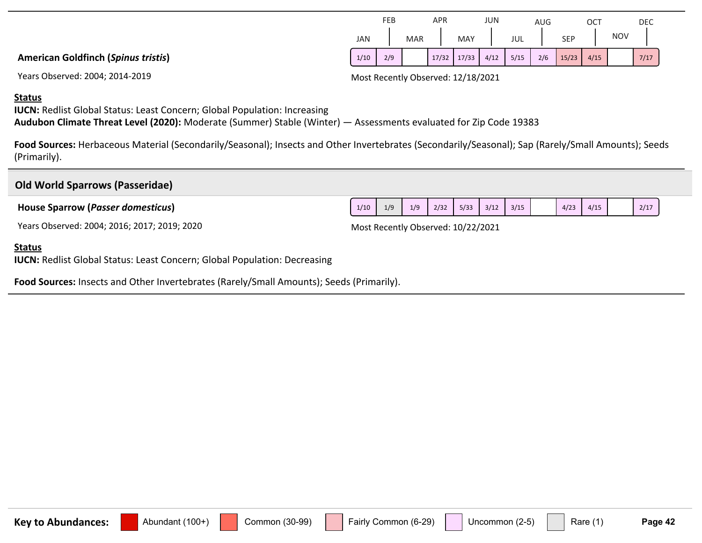Years Observed: 2004; 2014-2019 Most Recently Observed: 12/18/2021

#### **Status**

**IUCN:** Redlist Global Status: Least Concern; Global Population: Increasing **Audubon Climate Threat Level (2020):** Moderate (Summer) Stable (Winter) — Assessments evaluated for Zip Code 19383

Food Sources: Herbaceous Material (Secondarily/Seasonal); Insects and Other Invertebrates (Secondarily/Seasonal); Sap (Rarely/Small Amounts); Seeds (Primarily).

# **Old World Sparrows (Passeridae) House Sparrow (***Passer domesticus***)** Years Observed: 2004; 2016; 2017; 2019; 2020 Most Recently Observed: 10/22/2021  $1/10$   $1/9$   $1/9$   $2/32$   $5/33$   $3/12$   $3/15$   $4/23$   $4/15$   $2/17$

#### **Status**

**IUCN: Redlist Global Status: Least Concern; Global Population: Decreasing** 

**Food Sources:** Insects and Other Invertebrates (Rarely/Small Amounts); Seeds (Primarily).

| JAN  |     | <b>MAR</b> | MAY                           | JUL |     | <b>SFP</b>   | NOV |      |
|------|-----|------------|-------------------------------|-----|-----|--------------|-----|------|
| 1/10 | 2/9 |            | $17/32$ $17/33$ $4/12$ $5/15$ |     | 2/6 | $15/23$ 4/15 |     | 1/17 |
|      |     |            |                               |     |     |              |     |      |

JUN

JUL

AUG

SEP

**OCT** 

NOV

DEC

**MAY** 

APR

MAR

FEB